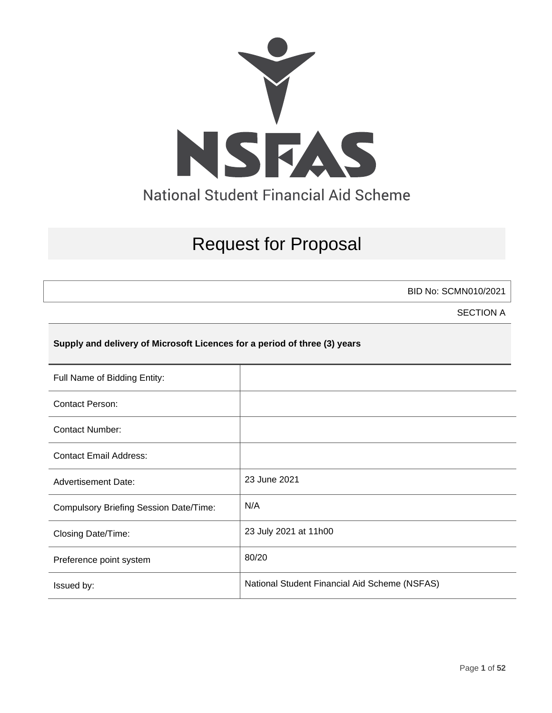

# Request for Proposal

BID No: SCMN010/2021

SECTION A

## **Supply and delivery of Microsoft Licences for a period of three (3) years**

| Full Name of Bidding Entity:           |                                               |
|----------------------------------------|-----------------------------------------------|
| <b>Contact Person:</b>                 |                                               |
| Contact Number:                        |                                               |
| <b>Contact Email Address:</b>          |                                               |
| <b>Advertisement Date:</b>             | 23 June 2021                                  |
| Compulsory Briefing Session Date/Time: | N/A                                           |
| Closing Date/Time:                     | 23 July 2021 at 11h00                         |
| Preference point system                | 80/20                                         |
| Issued by:                             | National Student Financial Aid Scheme (NSFAS) |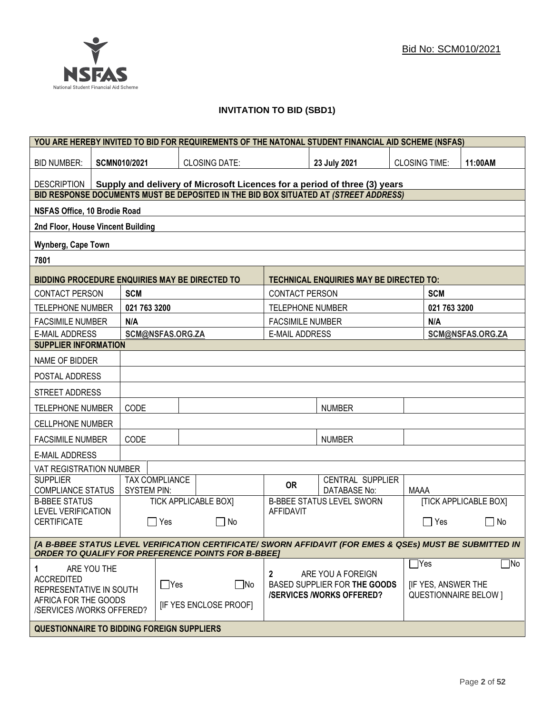

## **INVITATION TO BID (SBD1)**

|                                                   |             |                     |                  |                                                           |                         | YOU ARE HEREBY INVITED TO BID FOR REQUIREMENTS OF THE NATONAL STUDENT FINANCIAL AID SCHEME (NSFAS)      |                      |                           |                              |
|---------------------------------------------------|-------------|---------------------|------------------|-----------------------------------------------------------|-------------------------|---------------------------------------------------------------------------------------------------------|----------------------|---------------------------|------------------------------|
| <b>BID NUMBER:</b>                                |             | <b>SCMN010/2021</b> |                  | <b>CLOSING DATE:</b>                                      |                         | 23 July 2021                                                                                            | <b>CLOSING TIME:</b> |                           | 11:00AM                      |
| <b>DESCRIPTION</b>                                |             |                     |                  |                                                           |                         | Supply and delivery of Microsoft Licences for a period of three (3) years                               |                      |                           |                              |
|                                                   |             |                     |                  |                                                           |                         | BID RESPONSE DOCUMENTS MUST BE DEPOSITED IN THE BID BOX SITUATED AT (STREET ADDRESS)                    |                      |                           |                              |
| NSFAS Office, 10 Brodie Road                      |             |                     |                  |                                                           |                         |                                                                                                         |                      |                           |                              |
| 2nd Floor, House Vincent Building                 |             |                     |                  |                                                           |                         |                                                                                                         |                      |                           |                              |
| <b>Wynberg, Cape Town</b>                         |             |                     |                  |                                                           |                         |                                                                                                         |                      |                           |                              |
| 7801                                              |             |                     |                  |                                                           |                         |                                                                                                         |                      |                           |                              |
| BIDDING PROCEDURE ENQUIRIES MAY BE DIRECTED TO    |             |                     |                  |                                                           |                         | <b>TECHNICAL ENQUIRIES MAY BE DIRECTED TO:</b>                                                          |                      |                           |                              |
| <b>CONTACT PERSON</b>                             |             | <b>SCM</b>          |                  |                                                           | <b>CONTACT PERSON</b>   |                                                                                                         |                      | <b>SCM</b>                |                              |
| <b>TELEPHONE NUMBER</b>                           |             | 021 763 3200        |                  |                                                           | <b>TELEPHONE NUMBER</b> |                                                                                                         |                      | 021 763 3200              |                              |
| <b>FACSIMILE NUMBER</b>                           |             | N/A                 |                  |                                                           | <b>FACSIMILE NUMBER</b> |                                                                                                         |                      | N/A                       |                              |
| <b>E-MAIL ADDRESS</b>                             |             |                     | SCM@NSFAS.ORG.ZA |                                                           | <b>E-MAIL ADDRESS</b>   |                                                                                                         |                      |                           | SCM@NSFAS.ORG.ZA             |
| <b>SUPPLIER INFORMATION</b>                       |             |                     |                  |                                                           |                         |                                                                                                         |                      |                           |                              |
| NAME OF BIDDER                                    |             |                     |                  |                                                           |                         |                                                                                                         |                      |                           |                              |
| POSTAL ADDRESS                                    |             |                     |                  |                                                           |                         |                                                                                                         |                      |                           |                              |
| STREET ADDRESS                                    |             |                     |                  |                                                           |                         |                                                                                                         |                      |                           |                              |
| <b>TELEPHONE NUMBER</b>                           |             | CODE                |                  |                                                           |                         | <b>NUMBER</b>                                                                                           |                      |                           |                              |
| <b>CELLPHONE NUMBER</b>                           |             |                     |                  |                                                           |                         |                                                                                                         |                      |                           |                              |
| <b>FACSIMILE NUMBER</b>                           |             | CODE                |                  |                                                           |                         | <b>NUMBER</b>                                                                                           |                      |                           |                              |
| <b>E-MAIL ADDRESS</b>                             |             |                     |                  |                                                           |                         |                                                                                                         |                      |                           |                              |
| VAT REGISTRATION NUMBER                           |             |                     |                  |                                                           |                         |                                                                                                         |                      |                           |                              |
| <b>SUPPLIER</b><br><b>COMPLIANCE STATUS</b>       |             | <b>SYSTEM PIN:</b>  | TAX COMPLIANCE   |                                                           | <b>OR</b>               | CENTRAL SUPPLIER<br><b>DATABASE No:</b>                                                                 | <b>MAAA</b>          |                           |                              |
| <b>B-BBEE STATUS</b>                              |             |                     |                  | <b>TICK APPLICABLE BOXI</b>                               |                         | <b>B-BBEE STATUS LEVEL SWORN</b>                                                                        |                      |                           | <b>[TICK APPLICABLE BOX]</b> |
| <b>LEVEL VERIFICATION</b><br><b>CERTIFICATE</b>   |             | $\mathbf{I}$        | Yes              | $\Box$ No                                                 | <b>AFFIDAVIT</b>        |                                                                                                         |                      | $\Box$ Yes                | $\Box$<br>No                 |
|                                                   |             |                     |                  | <b>ORDER TO QUALIFY FOR PREFERENCE POINTS FOR B-BBEET</b> |                         | [A B-BBEE STATUS LEVEL VERIFICATION CERTIFICATE/ SWORN AFFIDAVIT (FOR EMES & QSEs) MUST BE SUBMITTED IN |                      |                           |                              |
|                                                   |             |                     |                  |                                                           |                         |                                                                                                         | $\Box$ Yes           |                           | $\Box$ No                    |
| 1<br><b>ACCREDITED</b><br>REPRESENTATIVE IN SOUTH | ARE YOU THE |                     | $\Box$ Yes       | $\Box$ No                                                 | 2                       | ARE YOU A FOREIGN<br>BASED SUPPLIER FOR THE GOODS<br><b>/SERVICES/WORKS OFFERED?</b>                    |                      | <b>IF YES, ANSWER THE</b> | <b>QUESTIONNAIRE BELOW 1</b> |
| AFRICA FOR THE GOODS<br>/SERVICES /WORKS OFFERED? |             |                     |                  | <b>IF YES ENCLOSE PROOFI</b>                              |                         |                                                                                                         |                      |                           |                              |
| <b>QUESTIONNAIRE TO BIDDING FOREIGN SUPPLIERS</b> |             |                     |                  |                                                           |                         |                                                                                                         |                      |                           |                              |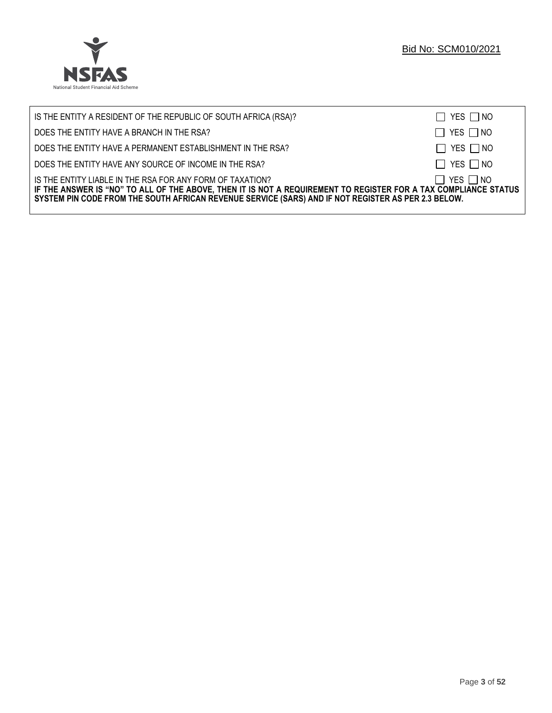

| IS THE ENTITY A RESIDENT OF THE REPUBLIC OF SOUTH AFRICA (RSA)?                                                                                                                                                                                                                     | $\Box$ YES $\Box$ NO |
|-------------------------------------------------------------------------------------------------------------------------------------------------------------------------------------------------------------------------------------------------------------------------------------|----------------------|
| DOES THE ENTITY HAVE A BRANCH IN THE RSA?                                                                                                                                                                                                                                           | $\Box$ YES $\Box$ NO |
| DOES THE ENTITY HAVE A PERMANENT ESTABLISHMENT IN THE RSA?                                                                                                                                                                                                                          | $\Box$ YES $\Box$ NO |
| DOES THE ENTITY HAVE ANY SOURCE OF INCOME IN THE RSA?                                                                                                                                                                                                                               | $\Box$ YES $\Box$ NO |
| IS THE ENTITY LIABLE IN THE RSA FOR ANY FORM OF TAXATION?<br>IF THE ANSWER IS "NO" TO ALL OF THE ABOVE, THEN IT IS NOT A REQUIREMENT TO REGISTER FOR A TAX COMPLIANCE STATUS<br>SYSTEM PIN CODE FROM THE SOUTH AFRICAN REVENUE SERVICE (SARS) AND IF NOT REGISTER AS PER 2.3 BELOW. | $\Box$ YES $\Box$ NO |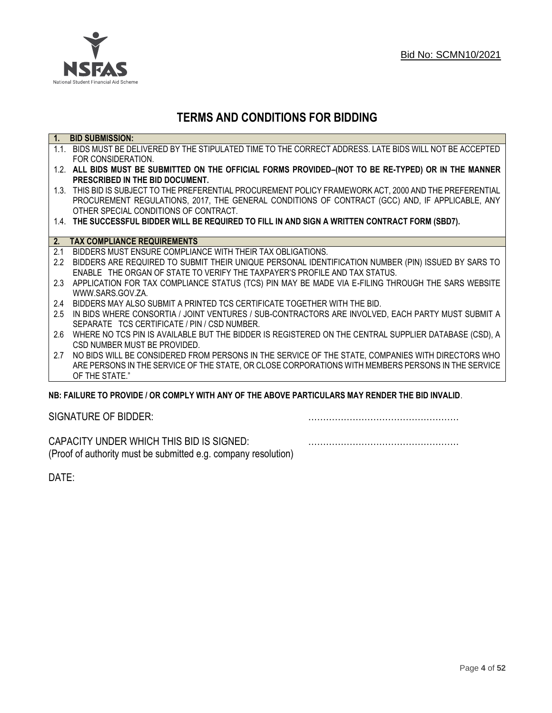

## **TERMS AND CONDITIONS FOR BIDDING**

| $\overline{1}$ . | <b>BID SUBMISSION:</b>                                                                                    |
|------------------|-----------------------------------------------------------------------------------------------------------|
|                  | 1.1. BIDS MUST BE DELIVERED BY THE STIPULATED TIME TO THE CORRECT ADDRESS. LATE BIDS WILL NOT BE ACCEPTED |
|                  | FOR CONSIDERATION.                                                                                        |
|                  | 1.2. ALL BIDS MUST BE SUBMITTED ON THE OFFICIAL FORMS PROVIDED-(NOT TO BE RE-TYPED) OR IN THE MANNER      |
|                  | PRESCRIBED IN THE BID DOCUMENT.                                                                           |
|                  | 1.3. THIS BID IS SUBJECT TO THE PREFERENTIAL PROCUREMENT POLICY FRAMEWORK ACT, 2000 AND THE PREFERENTIAL  |
|                  | PROCUREMENT REGULATIONS, 2017, THE GENERAL CONDITIONS OF CONTRACT (GCC) AND, IF APPLICABLE, ANY           |
|                  | OTHER SPECIAL CONDITIONS OF CONTRACT.                                                                     |
|                  | 1.4. THE SUCCESSFUL BIDDER WILL BE REQUIRED TO FILL IN AND SIGN A WRITTEN CONTRACT FORM (SBD7).           |
|                  |                                                                                                           |
|                  | 2. TAX COMPLIANCE REQUIREMENTS                                                                            |
| 2.1              | BIDDERS MUST ENSURE COMPLIANCE WITH THEIR TAX OBLIGATIONS.                                                |
| $2.2^{\circ}$    | BIDDERS ARE REQUIRED TO SUBMIT THEIR UNIQUE PERSONAL IDENTIFICATION NUMBER (PIN) ISSUED BY SARS TO        |
|                  | ENABLE THE ORGAN OF STATE TO VERIFY THE TAXPAYER'S PROFILE AND TAX STATUS.                                |
| 2.3              | APPLICATION FOR TAX COMPLIANCE STATUS (TCS) PIN MAY BE MADE VIA E-FILING THROUGH THE SARS WEBSITE         |
|                  | WWW.SARS.GOV.ZA.                                                                                          |
| 2.4              | BIDDERS MAY ALSO SUBMIT A PRINTED TCS CERTIFICATE TOGETHER WITH THE BID.                                  |
| 2.5              | IN BIDS WHERE CONSORTIA / JOINT VENTURES / SUB-CONTRACTORS ARE INVOLVED, EACH PARTY MUST SUBMIT A         |
|                  | SEPARATE TCS CERTIFICATE / PIN / CSD NUMBER.                                                              |
| 2.6              | WHERE NO TCS PIN IS AVAILABLE BUT THE BIDDER IS REGISTERED ON THE CENTRAL SUPPLIER DATABASE (CSD), A      |
|                  | CSD NUMBER MUST BE PROVIDED.                                                                              |
| 2.7              | NO BIDS WILL BE CONSIDERED FROM PERSONS IN THE SERVICE OF THE STATE, COMPANIES WITH DIRECTORS WHO         |
|                  | ARE PERSONS IN THE SERVICE OF THE STATE, OR CLOSE CORPORATIONS WITH MEMBERS PERSONS IN THE SERVICE        |
|                  | OF THE STATE."                                                                                            |
|                  | ND: EAII HDE TO DDOVINE I OD COMDI V WITH ANV OE THE ADOVE DADTICHI ADG MAV DENNED THE DIN INVALIN        |

## **NB: FAILURE TO PROVIDE / OR COMPLY WITH ANY OF THE ABOVE PARTICULARS MAY RENDER THE BID INVALID**.

|  | SIGNATURE OF BIDDER: |
|--|----------------------|
|--|----------------------|

SIGNATURE OF BIDDER: ……………………………………………

CAPACITY UNDER WHICH THIS BID IS SIGNED: …………………………………………… (Proof of authority must be submitted e.g. company resolution)

DATE: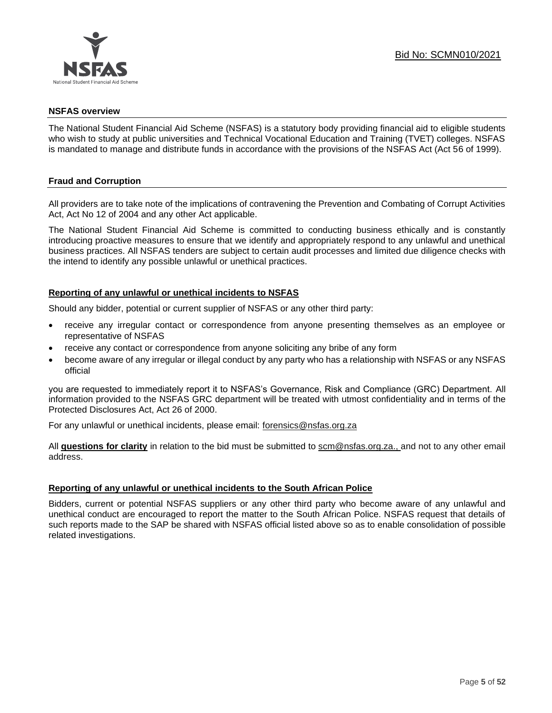

## **NSFAS overview**

The National Student Financial Aid Scheme (NSFAS) is a statutory body providing financial aid to eligible students who wish to study at public universities and Technical Vocational Education and Training (TVET) colleges. NSFAS is mandated to manage and distribute funds in accordance with the provisions of the NSFAS Act (Act 56 of 1999).

## **Fraud and Corruption**

All providers are to take note of the implications of contravening the Prevention and Combating of Corrupt Activities Act, Act No 12 of 2004 and any other Act applicable.

The National Student Financial Aid Scheme is committed to conducting business ethically and is constantly introducing proactive measures to ensure that we identify and appropriately respond to any unlawful and unethical business practices. All NSFAS tenders are subject to certain audit processes and limited due diligence checks with the intend to identify any possible unlawful or unethical practices.

## **Reporting of any unlawful or unethical incidents to NSFAS**

Should any bidder, potential or current supplier of NSFAS or any other third party:

- receive any irregular contact or correspondence from anyone presenting themselves as an employee or representative of NSFAS
- receive any contact or correspondence from anyone soliciting any bribe of any form
- become aware of any irregular or illegal conduct by any party who has a relationship with NSFAS or any NSFAS official

you are requested to immediately report it to NSFAS's Governance, Risk and Compliance (GRC) Department. All information provided to the NSFAS GRC department will be treated with utmost confidentiality and in terms of the Protected Disclosures Act, Act 26 of 2000.

For any unlawful or unethical incidents, please email: [forensics@nsfas.org.za](mailto:forensics@nsfas.org.za)

All **questions for clarity** in relation to the bid must be submitted to [scm@nsfas.org.za.](mailto:scm@nsfas.org.za), and not to any other email address.

## **Reporting of any unlawful or unethical incidents to the South African Police**

Bidders, current or potential NSFAS suppliers or any other third party who become aware of any unlawful and unethical conduct are encouraged to report the matter to the South African Police. NSFAS request that details of such reports made to the SAP be shared with NSFAS official listed above so as to enable consolidation of possible related investigations.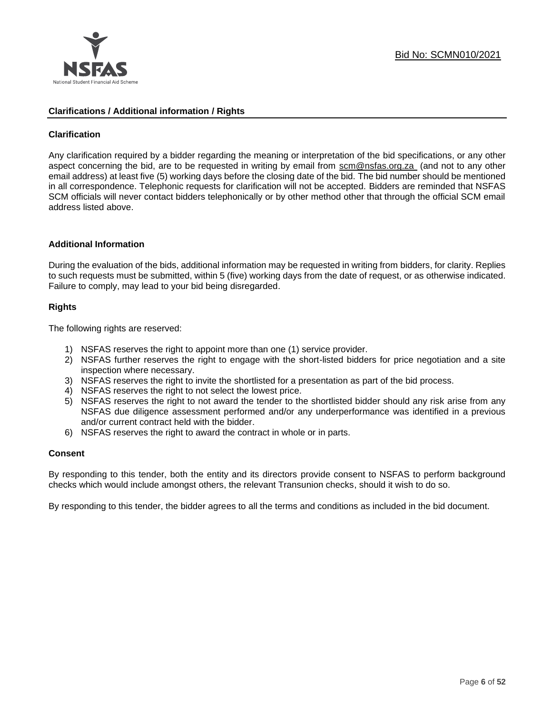

## **Clarifications / Additional information / Rights**

## **Clarification**

Any clarification required by a bidder regarding the meaning or interpretation of the bid specifications, or any other aspect concerning the bid, are to be requested in writing by email from [scm@nsfas.org.za](mailto:scm@nsfas.org.za) (and not to any other email address) at least five (5) working days before the closing date of the bid. The bid number should be mentioned in all correspondence. Telephonic requests for clarification will not be accepted. Bidders are reminded that NSFAS SCM officials will never contact bidders telephonically or by other method other that through the official SCM email address listed above.

#### **Additional Information**

During the evaluation of the bids, additional information may be requested in writing from bidders, for clarity. Replies to such requests must be submitted, within 5 (five) working days from the date of request, or as otherwise indicated. Failure to comply, may lead to your bid being disregarded.

## **Rights**

The following rights are reserved:

- 1) NSFAS reserves the right to appoint more than one (1) service provider.
- 2) NSFAS further reserves the right to engage with the short-listed bidders for price negotiation and a site inspection where necessary.
- 3) NSFAS reserves the right to invite the shortlisted for a presentation as part of the bid process.
- 4) NSFAS reserves the right to not select the lowest price.
- 5) NSFAS reserves the right to not award the tender to the shortlisted bidder should any risk arise from any NSFAS due diligence assessment performed and/or any underperformance was identified in a previous and/or current contract held with the bidder.
- 6) NSFAS reserves the right to award the contract in whole or in parts.

#### **Consent**

By responding to this tender, both the entity and its directors provide consent to NSFAS to perform background checks which would include amongst others, the relevant Transunion checks, should it wish to do so.

By responding to this tender, the bidder agrees to all the terms and conditions as included in the bid document.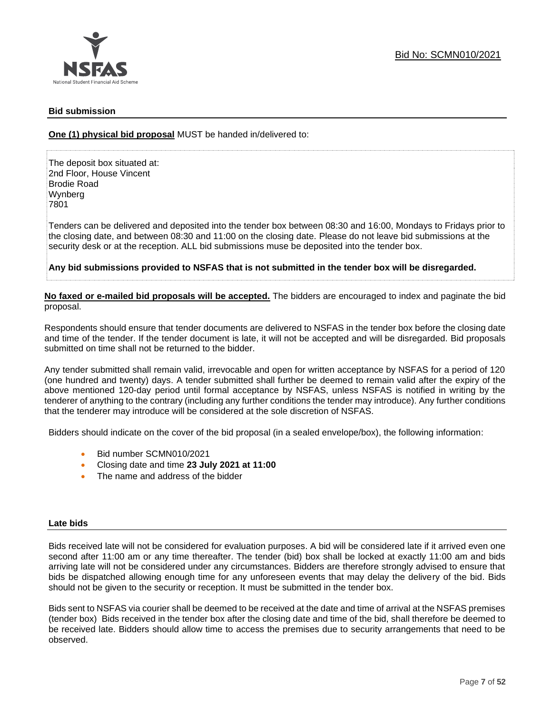

## **Bid submission**

**One (1) physical bid proposal** MUST be handed in/delivered to:

The deposit box situated at: 2nd Floor, House Vincent Brodie Road Wynberg 7801

Tenders can be delivered and deposited into the tender box between 08:30 and 16:00, Mondays to Fridays prior to the closing date, and between 08:30 and 11:00 on the closing date. Please do not leave bid submissions at the security desk or at the reception. ALL bid submissions muse be deposited into the tender box.

**Any bid submissions provided to NSFAS that is not submitted in the tender box will be disregarded.**

**No faxed or e-mailed bid proposals will be accepted.** The bidders are encouraged to index and paginate the bid proposal.

Respondents should ensure that tender documents are delivered to NSFAS in the tender box before the closing date and time of the tender. If the tender document is late, it will not be accepted and will be disregarded. Bid proposals submitted on time shall not be returned to the bidder.

Any tender submitted shall remain valid, irrevocable and open for written acceptance by NSFAS for a period of 120 (one hundred and twenty) days. A tender submitted shall further be deemed to remain valid after the expiry of the above mentioned 120-day period until formal acceptance by NSFAS, unless NSFAS is notified in writing by the tenderer of anything to the contrary (including any further conditions the tender may introduce). Any further conditions that the tenderer may introduce will be considered at the sole discretion of NSFAS.

Bidders should indicate on the cover of the bid proposal (in a sealed envelope/box), the following information:

- Bid number SCMN010/2021
- Closing date and time **23 July 2021 at 11:00**
- The name and address of the bidder

#### **Late bids**

Bids received late will not be considered for evaluation purposes. A bid will be considered late if it arrived even one second after 11:00 am or any time thereafter. The tender (bid) box shall be locked at exactly 11:00 am and bids arriving late will not be considered under any circumstances. Bidders are therefore strongly advised to ensure that bids be dispatched allowing enough time for any unforeseen events that may delay the delivery of the bid. Bids should not be given to the security or reception. It must be submitted in the tender box.

Bids sent to NSFAS via courier shall be deemed to be received at the date and time of arrival at the NSFAS premises (tender box) Bids received in the tender box after the closing date and time of the bid, shall therefore be deemed to be received late. Bidders should allow time to access the premises due to security arrangements that need to be observed.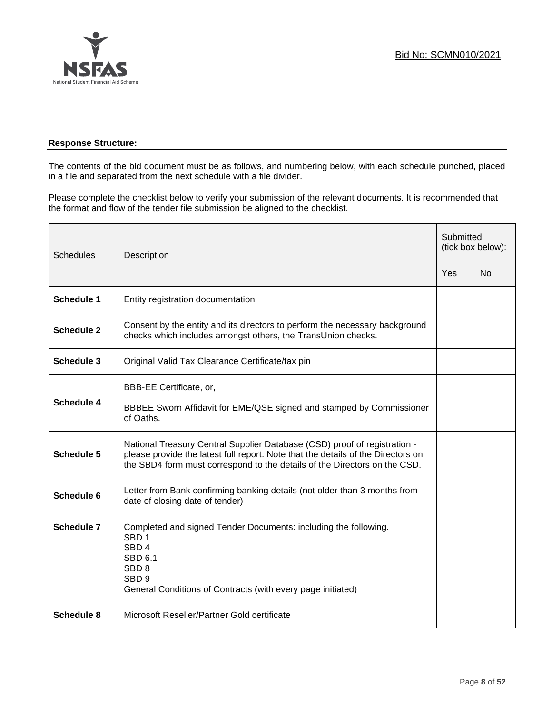

## **Response Structure:**

The contents of the bid document must be as follows, and numbering below, with each schedule punched, placed in a file and separated from the next schedule with a file divider.

Please complete the checklist below to verify your submission of the relevant documents. It is recommended that the format and flow of the tender file submission be aligned to the checklist.

| <b>Schedules</b>  | Description                                                                                                                                                                                                                                |     | Submitted<br>(tick box below): |  |
|-------------------|--------------------------------------------------------------------------------------------------------------------------------------------------------------------------------------------------------------------------------------------|-----|--------------------------------|--|
|                   |                                                                                                                                                                                                                                            | Yes | <b>No</b>                      |  |
| <b>Schedule 1</b> | Entity registration documentation                                                                                                                                                                                                          |     |                                |  |
| <b>Schedule 2</b> | Consent by the entity and its directors to perform the necessary background<br>checks which includes amongst others, the TransUnion checks.                                                                                                |     |                                |  |
| <b>Schedule 3</b> | Original Valid Tax Clearance Certificate/tax pin                                                                                                                                                                                           |     |                                |  |
| <b>Schedule 4</b> | BBB-EE Certificate, or,<br>BBBEE Sworn Affidavit for EME/QSE signed and stamped by Commissioner<br>of Oaths.                                                                                                                               |     |                                |  |
| <b>Schedule 5</b> | National Treasury Central Supplier Database (CSD) proof of registration -<br>please provide the latest full report. Note that the details of the Directors on<br>the SBD4 form must correspond to the details of the Directors on the CSD. |     |                                |  |
| Schedule 6        | Letter from Bank confirming banking details (not older than 3 months from<br>date of closing date of tender)                                                                                                                               |     |                                |  |
| <b>Schedule 7</b> | Completed and signed Tender Documents: including the following.<br>SBD <sub>1</sub><br>SBD <sub>4</sub><br>SBD 6.1<br>SBD <sub>8</sub><br>SBD <sub>9</sub><br>General Conditions of Contracts (with every page initiated)                  |     |                                |  |
| <b>Schedule 8</b> | Microsoft Reseller/Partner Gold certificate                                                                                                                                                                                                |     |                                |  |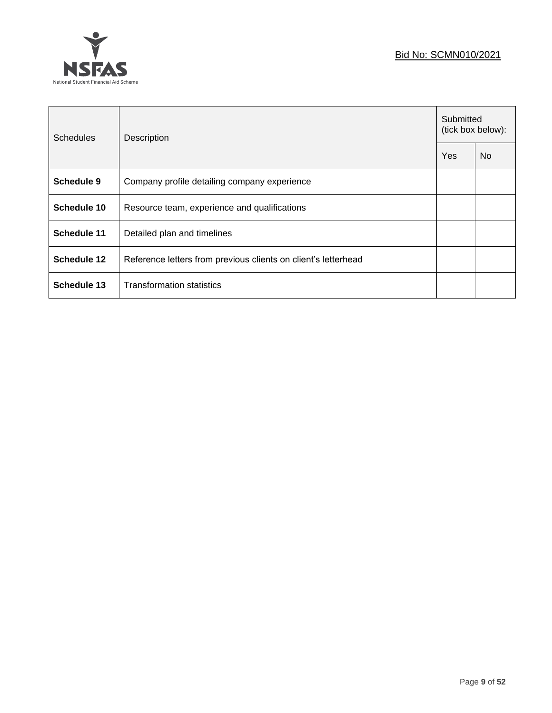## Bid No: SCMN010/2021



| <b>Schedules</b>   | Description                                                    |     | Submitted<br>(tick box below): |  |
|--------------------|----------------------------------------------------------------|-----|--------------------------------|--|
|                    |                                                                | Yes | N <sub>o</sub>                 |  |
| Schedule 9         | Company profile detailing company experience                   |     |                                |  |
| Schedule 10        | Resource team, experience and qualifications                   |     |                                |  |
| Schedule 11        | Detailed plan and timelines                                    |     |                                |  |
| <b>Schedule 12</b> | Reference letters from previous clients on client's letterhead |     |                                |  |
| Schedule 13        | <b>Transformation statistics</b>                               |     |                                |  |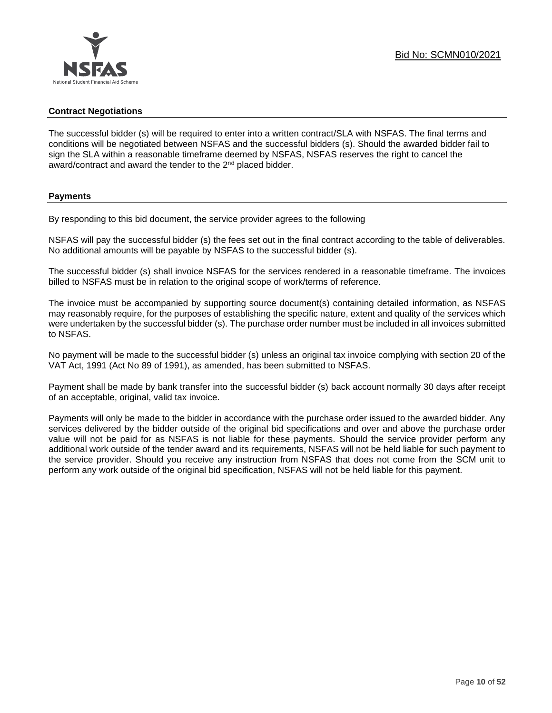## **Contract Negotiations**

The successful bidder (s) will be required to enter into a written contract/SLA with NSFAS. The final terms and conditions will be negotiated between NSFAS and the successful bidders (s). Should the awarded bidder fail to sign the SLA within a reasonable timeframe deemed by NSFAS, NSFAS reserves the right to cancel the award/contract and award the tender to the 2<sup>nd</sup> placed bidder.

#### **Payments**

By responding to this bid document, the service provider agrees to the following

NSFAS will pay the successful bidder (s) the fees set out in the final contract according to the table of deliverables. No additional amounts will be payable by NSFAS to the successful bidder (s).

The successful bidder (s) shall invoice NSFAS for the services rendered in a reasonable timeframe. The invoices billed to NSFAS must be in relation to the original scope of work/terms of reference.

The invoice must be accompanied by supporting source document(s) containing detailed information, as NSFAS may reasonably require, for the purposes of establishing the specific nature, extent and quality of the services which were undertaken by the successful bidder (s). The purchase order number must be included in all invoices submitted to NSFAS.

No payment will be made to the successful bidder (s) unless an original tax invoice complying with section 20 of the VAT Act, 1991 (Act No 89 of 1991), as amended, has been submitted to NSFAS.

Payment shall be made by bank transfer into the successful bidder (s) back account normally 30 days after receipt of an acceptable, original, valid tax invoice.

Payments will only be made to the bidder in accordance with the purchase order issued to the awarded bidder. Any services delivered by the bidder outside of the original bid specifications and over and above the purchase order value will not be paid for as NSFAS is not liable for these payments. Should the service provider perform any additional work outside of the tender award and its requirements, NSFAS will not be held liable for such payment to the service provider. Should you receive any instruction from NSFAS that does not come from the SCM unit to perform any work outside of the original bid specification, NSFAS will not be held liable for this payment.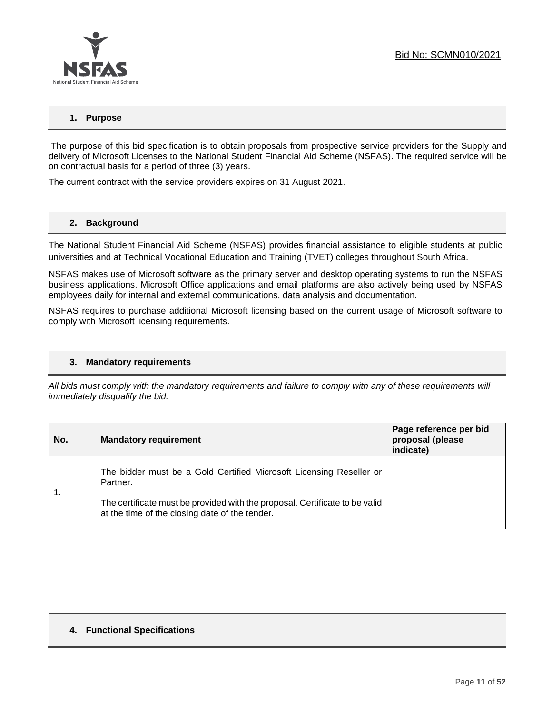

## **1. Purpose**

The purpose of this bid specification is to obtain proposals from prospective service providers for the Supply and delivery of Microsoft Licenses to the National Student Financial Aid Scheme (NSFAS). The required service will be on contractual basis for a period of three (3) years.

The current contract with the service providers expires on 31 August 2021.

#### **2. Background**

The National Student Financial Aid Scheme (NSFAS) provides financial assistance to eligible students at public universities and at Technical Vocational Education and Training (TVET) colleges throughout South Africa.

NSFAS makes use of Microsoft software as the primary server and desktop operating systems to run the NSFAS business applications. Microsoft Office applications and email platforms are also actively being used by NSFAS employees daily for internal and external communications, data analysis and documentation.

NSFAS requires to purchase additional Microsoft licensing based on the current usage of Microsoft software to comply with Microsoft licensing requirements.

#### **3. Mandatory requirements**

*All bids must comply with the mandatory requirements and failure to comply with any of these requirements will immediately disqualify the bid.*

| No. | <b>Mandatory requirement</b>                                                                                                  | Page reference per bid<br>proposal (please<br>indicate) |
|-----|-------------------------------------------------------------------------------------------------------------------------------|---------------------------------------------------------|
|     | The bidder must be a Gold Certified Microsoft Licensing Reseller or<br>Partner.                                               |                                                         |
|     | The certificate must be provided with the proposal. Certificate to be valid<br>at the time of the closing date of the tender. |                                                         |

#### **4. Functional Specifications**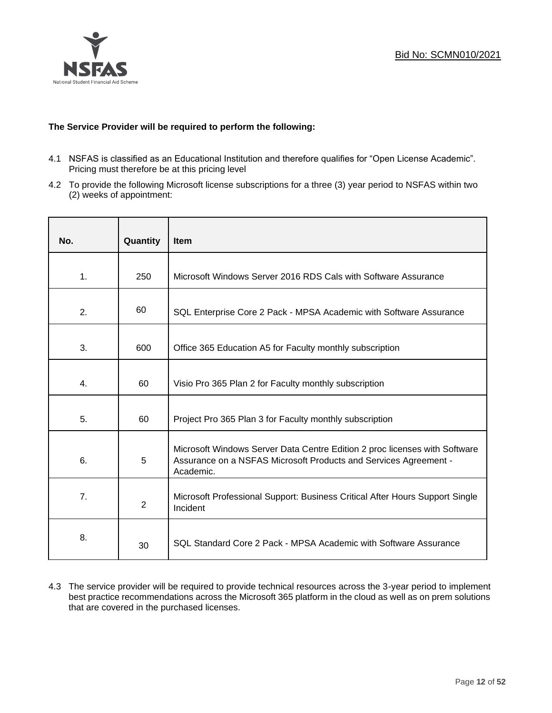

## **The Service Provider will be required to perform the following:**

- 4.1 NSFAS is classified as an Educational Institution and therefore qualifies for "Open License Academic". Pricing must therefore be at this pricing level
- 4.2 To provide the following Microsoft license subscriptions for a three (3) year period to NSFAS within two (2) weeks of appointment:

| No. | Quantity       | Item                                                                                                                                                        |
|-----|----------------|-------------------------------------------------------------------------------------------------------------------------------------------------------------|
| 1.  | 250            | Microsoft Windows Server 2016 RDS Cals with Software Assurance                                                                                              |
| 2.  | 60             | SQL Enterprise Core 2 Pack - MPSA Academic with Software Assurance                                                                                          |
| 3.  | 600            | Office 365 Education A5 for Faculty monthly subscription                                                                                                    |
| 4.  | 60             | Visio Pro 365 Plan 2 for Faculty monthly subscription                                                                                                       |
| 5.  | 60             | Project Pro 365 Plan 3 for Faculty monthly subscription                                                                                                     |
| 6.  | 5              | Microsoft Windows Server Data Centre Edition 2 proc licenses with Software<br>Assurance on a NSFAS Microsoft Products and Services Agreement -<br>Academic. |
| 7.  | $\overline{2}$ | Microsoft Professional Support: Business Critical After Hours Support Single<br>Incident                                                                    |
| 8.  | 30             | SQL Standard Core 2 Pack - MPSA Academic with Software Assurance                                                                                            |

4.3 The service provider will be required to provide technical resources across the 3-year period to implement best practice recommendations across the Microsoft 365 platform in the cloud as well as on prem solutions that are covered in the purchased licenses.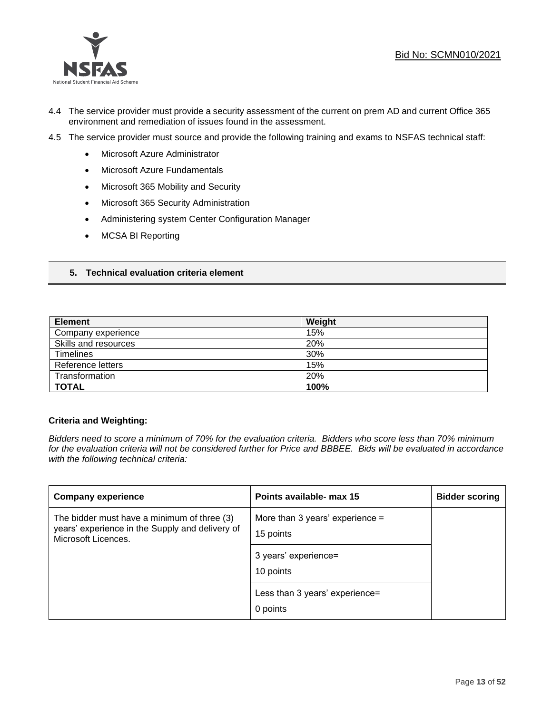

- 4.4 The service provider must provide a security assessment of the current on prem AD and current Office 365 environment and remediation of issues found in the assessment.
- 4.5 The service provider must source and provide the following training and exams to NSFAS technical staff:
	- Microsoft Azure Administrator
	- Microsoft Azure Fundamentals
	- Microsoft 365 Mobility and Security
	- Microsoft 365 Security Administration
	- Administering system Center Configuration Manager
	- MCSA BI Reporting

## **5. Technical evaluation criteria element**

| <b>Element</b>       | Weight |
|----------------------|--------|
| Company experience   | 15%    |
| Skills and resources | 20%    |
| <b>Timelines</b>     | 30%    |
| Reference letters    | 15%    |
| Transformation       | 20%    |
| <b>TOTAL</b>         | 100%   |

#### **Criteria and Weighting:**

*Bidders need to score a minimum of 70% for the evaluation criteria. Bidders who score less than 70% minimum for the evaluation criteria will not be considered further for Price and BBBEE. Bids will be evaluated in accordance with the following technical criteria:*

| <b>Company experience</b>                                                                                             | Points available- max 15                       | <b>Bidder scoring</b> |
|-----------------------------------------------------------------------------------------------------------------------|------------------------------------------------|-----------------------|
| The bidder must have a minimum of three (3)<br>years' experience in the Supply and delivery of<br>Microsoft Licences. | More than 3 years' experience $=$<br>15 points |                       |
|                                                                                                                       | 3 years' experience=<br>10 points              |                       |
|                                                                                                                       | Less than 3 years' experience=<br>0 points     |                       |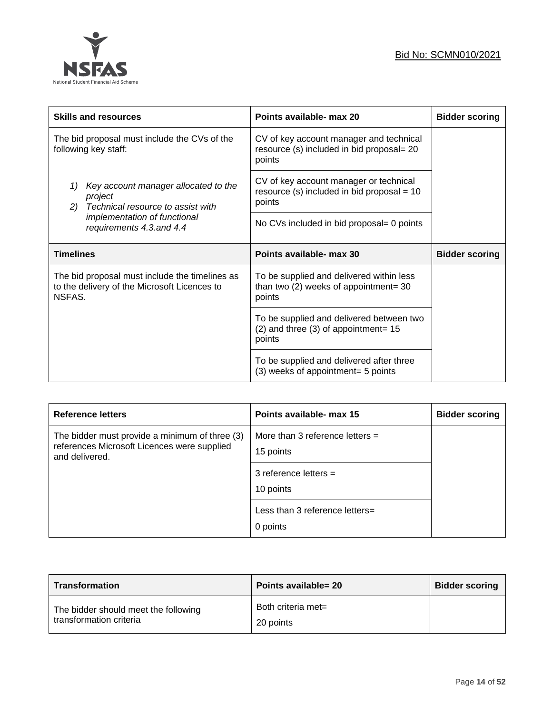

| <b>Skills and resources</b>                                                                              | Points available- max 20                                                                         | <b>Bidder scoring</b> |
|----------------------------------------------------------------------------------------------------------|--------------------------------------------------------------------------------------------------|-----------------------|
| The bid proposal must include the CVs of the<br>following key staff:                                     | CV of key account manager and technical<br>resource (s) included in bid proposal= 20<br>points   |                       |
| Key account manager allocated to the<br>1)<br>project<br>Technical resource to assist with<br>2)         | CV of key account manager or technical<br>resource (s) included in bid proposal = $10$<br>points |                       |
| implementation of functional<br>requirements 4.3.and 4.4                                                 | No CVs included in bid proposal= 0 points                                                        |                       |
|                                                                                                          |                                                                                                  |                       |
| <b>Timelines</b>                                                                                         | Points available- max 30                                                                         | <b>Bidder scoring</b> |
| The bid proposal must include the timelines as<br>to the delivery of the Microsoft Licences to<br>NSFAS. | To be supplied and delivered within less<br>than two $(2)$ weeks of appointment= 30<br>points    |                       |
|                                                                                                          | To be supplied and delivered between two<br>$(2)$ and three $(3)$ of appointment= 15<br>points   |                       |

| <b>Reference letters</b>                                                                                        | Points available- max 15                       | <b>Bidder scoring</b> |
|-----------------------------------------------------------------------------------------------------------------|------------------------------------------------|-----------------------|
| The bidder must provide a minimum of three (3)<br>references Microsoft Licences were supplied<br>and delivered. | More than 3 reference letters $=$<br>15 points |                       |
|                                                                                                                 | 3 reference letters $=$<br>10 points           |                       |
|                                                                                                                 | Less than 3 reference letters=<br>0 points     |                       |

| <b>Transformation</b>                                           | Points available= 20            | <b>Bidder scoring</b> |
|-----------------------------------------------------------------|---------------------------------|-----------------------|
| The bidder should meet the following<br>transformation criteria | Both criteria met=<br>20 points |                       |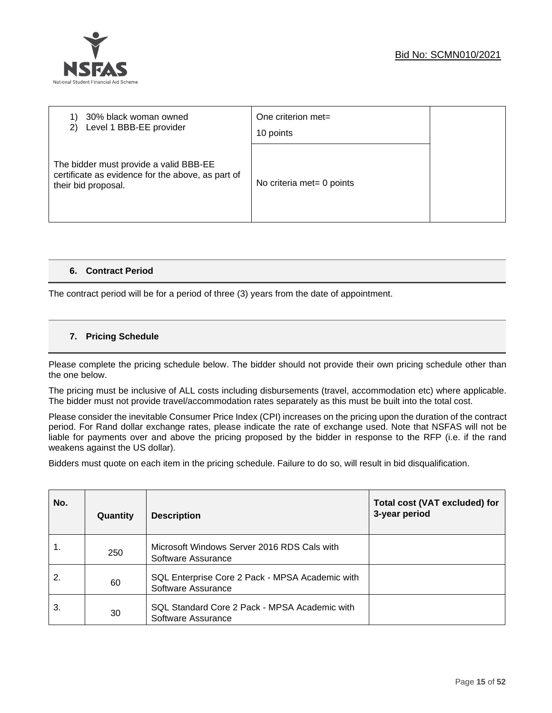

| 30% black woman owned<br>Level 1 BBB-EE provider<br>2)                                                             | One criterion met=<br>10 points |  |
|--------------------------------------------------------------------------------------------------------------------|---------------------------------|--|
| The bidder must provide a valid BBB-EE<br>certificate as evidence for the above, as part of<br>their bid proposal. | No criteria met= 0 points       |  |

## **6. Contract Period**

The contract period will be for a period of three (3) years from the date of appointment.

## **7. Pricing Schedule**

Please complete the pricing schedule below. The bidder should not provide their own pricing schedule other than the one below.

The pricing must be inclusive of ALL costs including disbursements (travel, accommodation etc) where applicable. The bidder must not provide travel/accommodation rates separately as this must be built into the total cost.

Please consider the inevitable Consumer Price Index (CPI) increases on the pricing upon the duration of the contract period. For Rand dollar exchange rates, please indicate the rate of exchange used. Note that NSFAS will not be liable for payments over and above the pricing proposed by the bidder in response to the RFP (i.e. if the rand weakens against the US dollar).

Bidders must quote on each item in the pricing schedule. Failure to do so, will result in bid disqualification.

| No. | Quantity | <b>Description</b>                                                    | <b>Total cost (VAT excluded) for</b><br>3-year period |
|-----|----------|-----------------------------------------------------------------------|-------------------------------------------------------|
| 1.  | 250      | Microsoft Windows Server 2016 RDS Cals with<br>Software Assurance     |                                                       |
| 2.  | 60       | SQL Enterprise Core 2 Pack - MPSA Academic with<br>Software Assurance |                                                       |
| 3.  | 30       | SQL Standard Core 2 Pack - MPSA Academic with<br>Software Assurance   |                                                       |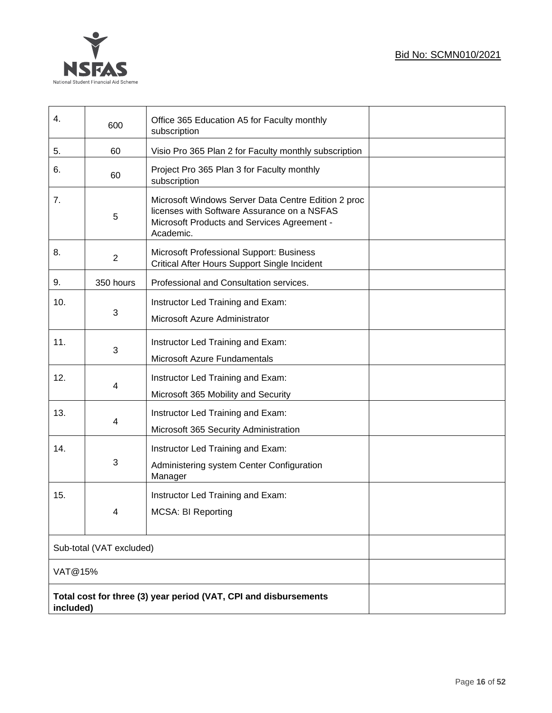



| $\mathbf{4}$ .           | 600            | Office 365 Education A5 for Faculty monthly<br>subscription                                                                                                    |  |
|--------------------------|----------------|----------------------------------------------------------------------------------------------------------------------------------------------------------------|--|
| 5.                       | 60             | Visio Pro 365 Plan 2 for Faculty monthly subscription                                                                                                          |  |
| 6.                       | 60             | Project Pro 365 Plan 3 for Faculty monthly<br>subscription                                                                                                     |  |
| 7.                       | 5              | Microsoft Windows Server Data Centre Edition 2 proc<br>licenses with Software Assurance on a NSFAS<br>Microsoft Products and Services Agreement -<br>Academic. |  |
| 8.                       | $\overline{2}$ | Microsoft Professional Support: Business<br>Critical After Hours Support Single Incident                                                                       |  |
| 9.                       | 350 hours      | Professional and Consultation services.                                                                                                                        |  |
| 10.                      | 3              | Instructor Led Training and Exam:<br>Microsoft Azure Administrator                                                                                             |  |
| 11.                      | 3              | Instructor Led Training and Exam:<br>Microsoft Azure Fundamentals                                                                                              |  |
| 12.                      | 4              | Instructor Led Training and Exam:<br>Microsoft 365 Mobility and Security                                                                                       |  |
| 13.                      | 4              | Instructor Led Training and Exam:<br>Microsoft 365 Security Administration                                                                                     |  |
| 14.                      | 3              | Instructor Led Training and Exam:<br>Administering system Center Configuration<br>Manager                                                                      |  |
| 15.                      | Δ              | Instructor Led Training and Exam:<br>MCSA: BI Reporting                                                                                                        |  |
| Sub-total (VAT excluded) |                |                                                                                                                                                                |  |
| VAT@15%                  |                |                                                                                                                                                                |  |
| included)                |                | Total cost for three (3) year period (VAT, CPI and disbursements                                                                                               |  |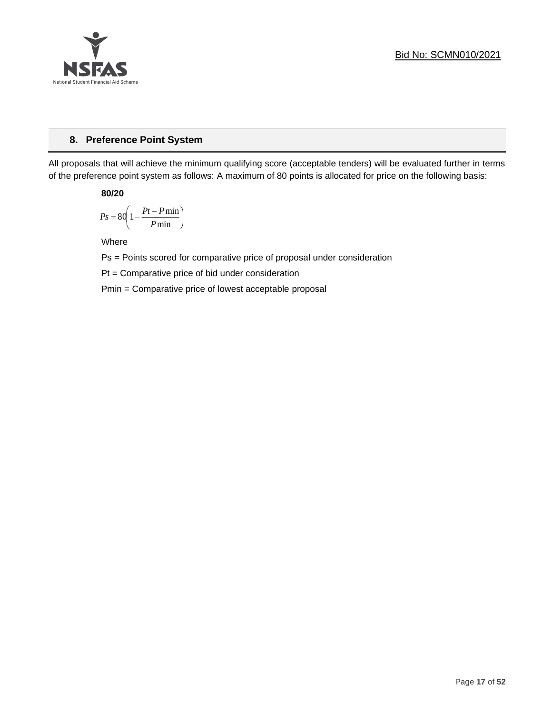

## **8. Preference Point System**

All proposals that will achieve the minimum qualifying score (acceptable tenders) will be evaluated further in terms of the preference point system as follows: A maximum of 80 points is allocated for price on the following basis:

**80/20**

$$
Ps = 80 \left( 1 - \frac{Pt - P \min}{P \min} \right)
$$

Where

Ps = Points scored for comparative price of proposal under consideration

Pt = Comparative price of bid under consideration

Pmin = Comparative price of lowest acceptable proposal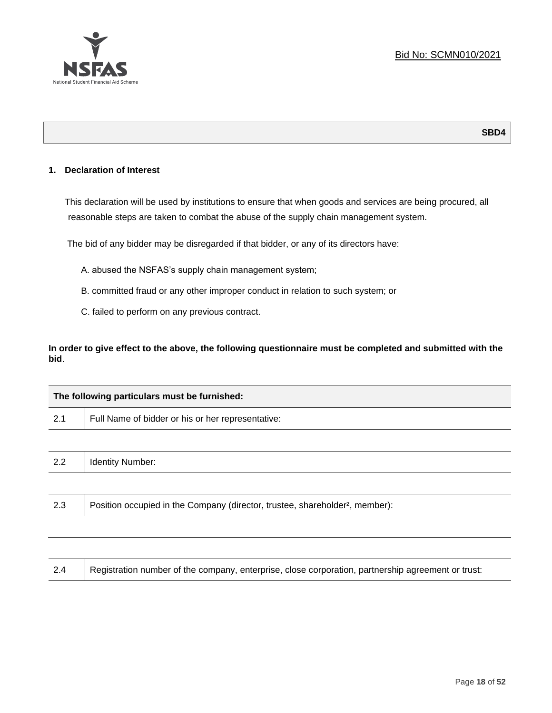

## **SBD4**

## **1. Declaration of Interest**

This declaration will be used by institutions to ensure that when goods and services are being procured, all reasonable steps are taken to combat the abuse of the supply chain management system.

The bid of any bidder may be disregarded if that bidder, or any of its directors have:

- A. abused the NSFAS's supply chain management system;
- B. committed fraud or any other improper conduct in relation to such system; or
- C. failed to perform on any previous contract.

**In order to give effect to the above, the following questionnaire must be completed and submitted with the bid**.

| The following particulars must be furnished: |                                                                                          |  |
|----------------------------------------------|------------------------------------------------------------------------------------------|--|
| 2.1                                          | Full Name of bidder or his or her representative:                                        |  |
|                                              |                                                                                          |  |
| 2.2                                          | <b>Identity Number:</b>                                                                  |  |
|                                              |                                                                                          |  |
| 2.3                                          | Position occupied in the Company (director, trustee, shareholder <sup>2</sup> , member): |  |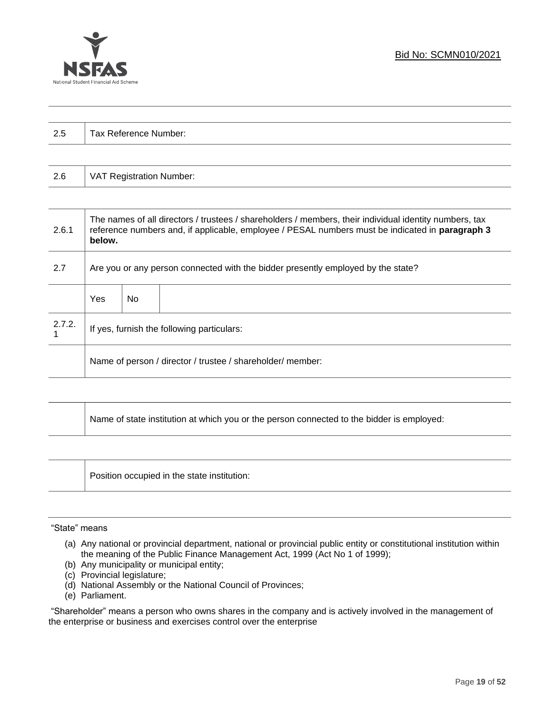

| $\Omega$<br>ن.∠ | Tax Reference Number: |
|-----------------|-----------------------|
|                 |                       |

| 2.6 | VAT Registration Number: |
|-----|--------------------------|
|-----|--------------------------|

| 2.6.1  | The names of all directors / trustees / shareholders / members, their individual identity numbers, tax<br>reference numbers and, if applicable, employee / PESAL numbers must be indicated in paragraph 3<br>below. |     |  |
|--------|---------------------------------------------------------------------------------------------------------------------------------------------------------------------------------------------------------------------|-----|--|
| 2.7    | Are you or any person connected with the bidder presently employed by the state?                                                                                                                                    |     |  |
|        | Yes                                                                                                                                                                                                                 | No. |  |
| 2.7.2. | If yes, furnish the following particulars:                                                                                                                                                                          |     |  |
|        | Name of person / director / trustee / shareholder/ member:                                                                                                                                                          |     |  |

| Name of state institution at which you or the person connected to the bidder is employed: |
|-------------------------------------------------------------------------------------------|
|                                                                                           |

Position occupied in the state institution:

#### "State" means

- (a) Any national or provincial department, national or provincial public entity or constitutional institution within the meaning of the Public Finance Management Act, 1999 (Act No 1 of 1999);
- (b) Any municipality or municipal entity;
- (c) Provincial legislature;
- (d) National Assembly or the National Council of Provinces;
- (e) Parliament.

"Shareholder" means a person who owns shares in the company and is actively involved in the management of the enterprise or business and exercises control over the enterprise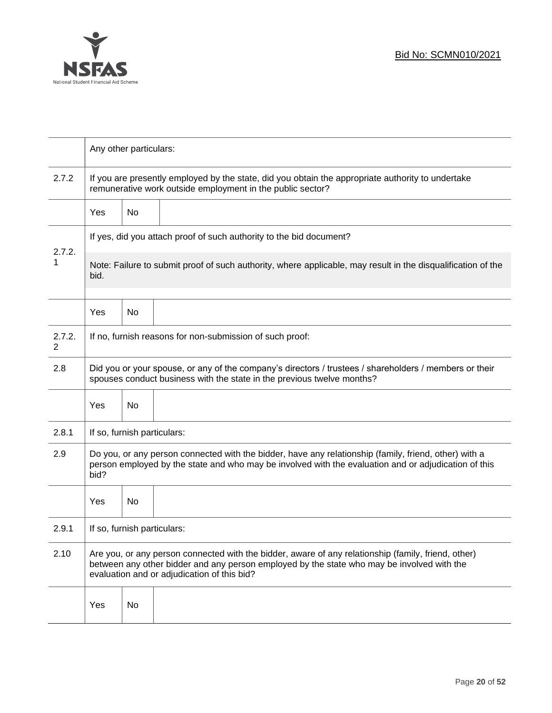

|             | Any other particulars:                                                                                                                                                                                                                           |    |  |
|-------------|--------------------------------------------------------------------------------------------------------------------------------------------------------------------------------------------------------------------------------------------------|----|--|
| 2.7.2       | If you are presently employed by the state, did you obtain the appropriate authority to undertake<br>remunerative work outside employment in the public sector?                                                                                  |    |  |
|             | Yes                                                                                                                                                                                                                                              | No |  |
|             | If yes, did you attach proof of such authority to the bid document?                                                                                                                                                                              |    |  |
| 2.7.2.<br>1 | Note: Failure to submit proof of such authority, where applicable, may result in the disqualification of the<br>bid.                                                                                                                             |    |  |
|             | Yes                                                                                                                                                                                                                                              | No |  |
| 2.7.2.<br>2 | If no, furnish reasons for non-submission of such proof:                                                                                                                                                                                         |    |  |
| 2.8         | Did you or your spouse, or any of the company's directors / trustees / shareholders / members or their<br>spouses conduct business with the state in the previous twelve months?                                                                 |    |  |
|             | Yes                                                                                                                                                                                                                                              | No |  |
| 2.8.1       | If so, furnish particulars:                                                                                                                                                                                                                      |    |  |
| 2.9         | Do you, or any person connected with the bidder, have any relationship (family, friend, other) with a<br>person employed by the state and who may be involved with the evaluation and or adjudication of this<br>bid?                            |    |  |
|             | Yes                                                                                                                                                                                                                                              | No |  |
| 2.9.1       | If so, furnish particulars:                                                                                                                                                                                                                      |    |  |
| 2.10        | Are you, or any person connected with the bidder, aware of any relationship (family, friend, other)<br>between any other bidder and any person employed by the state who may be involved with the<br>evaluation and or adjudication of this bid? |    |  |
|             | Yes                                                                                                                                                                                                                                              | No |  |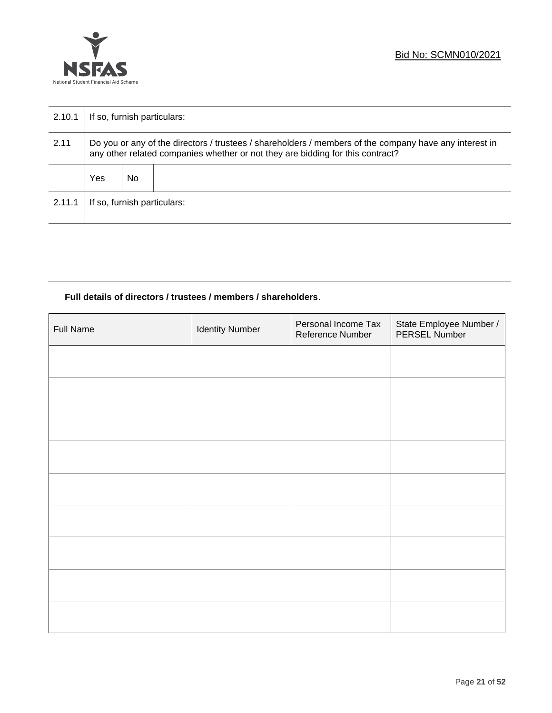

| 2.10.1 | If so, furnish particulars:                                                                                                                                                              |    |  |  |
|--------|------------------------------------------------------------------------------------------------------------------------------------------------------------------------------------------|----|--|--|
| 2.11   | Do you or any of the directors / trustees / shareholders / members of the company have any interest in<br>any other related companies whether or not they are bidding for this contract? |    |  |  |
|        | Yes                                                                                                                                                                                      | No |  |  |
| 2.11.1 | If so, furnish particulars:                                                                                                                                                              |    |  |  |

## **Full details of directors / trustees / members / shareholders**.

| <b>Full Name</b> | <b>Identity Number</b> | Personal Income Tax<br>Reference Number | State Employee Number /<br>PERSEL Number |
|------------------|------------------------|-----------------------------------------|------------------------------------------|
|                  |                        |                                         |                                          |
|                  |                        |                                         |                                          |
|                  |                        |                                         |                                          |
|                  |                        |                                         |                                          |
|                  |                        |                                         |                                          |
|                  |                        |                                         |                                          |
|                  |                        |                                         |                                          |
|                  |                        |                                         |                                          |
|                  |                        |                                         |                                          |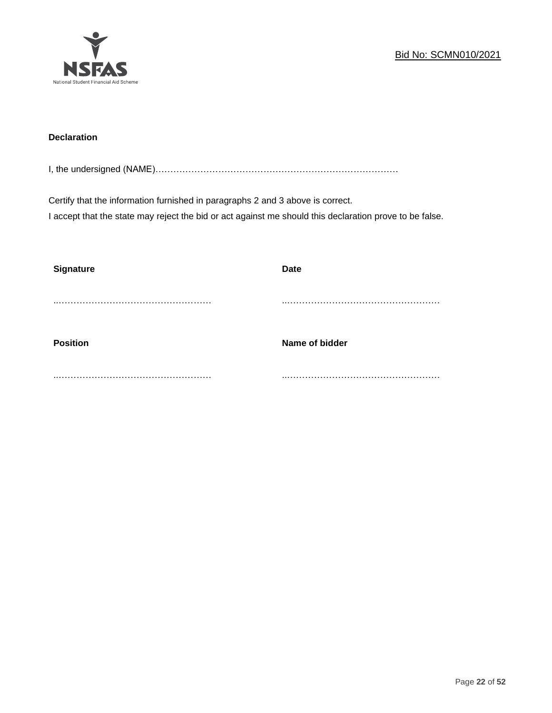

## **Declaration**

I, the undersigned (NAME)………………………………………………………………………

Certify that the information furnished in paragraphs 2 and 3 above is correct. I accept that the state may reject the bid or act against me should this declaration prove to be false.

| <b>Signature</b> | <b>Date</b>    |
|------------------|----------------|
|                  |                |
| <b>Position</b>  | Name of bidder |
|                  |                |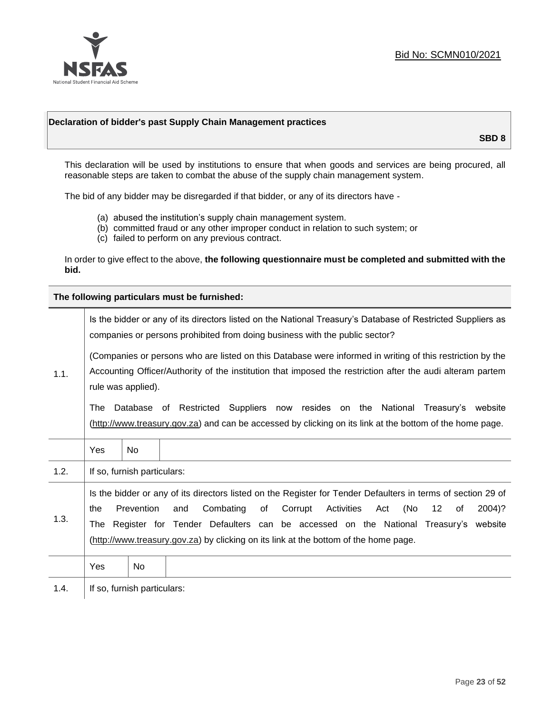

## **Declaration of bidder's past Supply Chain Management practices**

**SBD 8**

This declaration will be used by institutions to ensure that when goods and services are being procured, all reasonable steps are taken to combat the abuse of the supply chain management system.

The bid of any bidder may be disregarded if that bidder, or any of its directors have -

- (a) abused the institution's supply chain management system.
- (b) committed fraud or any other improper conduct in relation to such system; or
- (c) failed to perform on any previous contract.

In order to give effect to the above, **the following questionnaire must be completed and submitted with the bid.**

**The following particulars must be furnished:**

| 1.1. | Is the bidder or any of its directors listed on the National Treasury's Database of Restricted Suppliers as<br>companies or persons prohibited from doing business with the public sector?                                                                                                                                                                                                                   |                             |                                                                                                                                                                                                |  |  |
|------|--------------------------------------------------------------------------------------------------------------------------------------------------------------------------------------------------------------------------------------------------------------------------------------------------------------------------------------------------------------------------------------------------------------|-----------------------------|------------------------------------------------------------------------------------------------------------------------------------------------------------------------------------------------|--|--|
|      | (Companies or persons who are listed on this Database were informed in writing of this restriction by the<br>Accounting Officer/Authority of the institution that imposed the restriction after the audi alteram partem<br>rule was applied).                                                                                                                                                                |                             |                                                                                                                                                                                                |  |  |
|      | The                                                                                                                                                                                                                                                                                                                                                                                                          |                             | Database of Restricted Suppliers now resides on the National<br>Treasury's website<br>(http://www.treasury.gov.za) and can be accessed by clicking on its link at the bottom of the home page. |  |  |
|      | Yes                                                                                                                                                                                                                                                                                                                                                                                                          | No.                         |                                                                                                                                                                                                |  |  |
| 1.2. |                                                                                                                                                                                                                                                                                                                                                                                                              | If so, furnish particulars: |                                                                                                                                                                                                |  |  |
| 1.3. | Is the bidder or any of its directors listed on the Register for Tender Defaulters in terms of section 29 of<br>Prevention<br>Combating<br>Corrupt<br>Activities<br>(No<br>12<br>and<br>of<br>Act<br>2004)?<br>the<br>of<br>Register for Tender Defaulters can be accessed on the National Treasury's website<br>The<br>(http://www.treasury.gov.za) by clicking on its link at the bottom of the home page. |                             |                                                                                                                                                                                                |  |  |
|      | Yes                                                                                                                                                                                                                                                                                                                                                                                                          | No                          |                                                                                                                                                                                                |  |  |
| 1.4. | If so, furnish particulars:                                                                                                                                                                                                                                                                                                                                                                                  |                             |                                                                                                                                                                                                |  |  |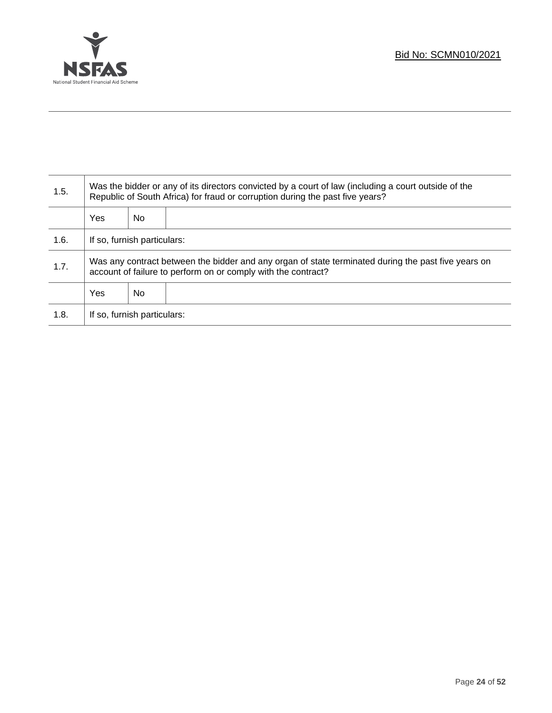

T

| 1.5. | Was the bidder or any of its directors convicted by a court of law (including a court outside of the<br>Republic of South Africa) for fraud or corruption during the past five years? |    |  |  |
|------|---------------------------------------------------------------------------------------------------------------------------------------------------------------------------------------|----|--|--|
|      | Yes                                                                                                                                                                                   | No |  |  |
| 1.6. | If so, furnish particulars:                                                                                                                                                           |    |  |  |
| 1.7. | Was any contract between the bidder and any organ of state terminated during the past five years on<br>account of failure to perform on or comply with the contract?                  |    |  |  |
|      | Yes                                                                                                                                                                                   | No |  |  |
| 1.8. | If so, furnish particulars:                                                                                                                                                           |    |  |  |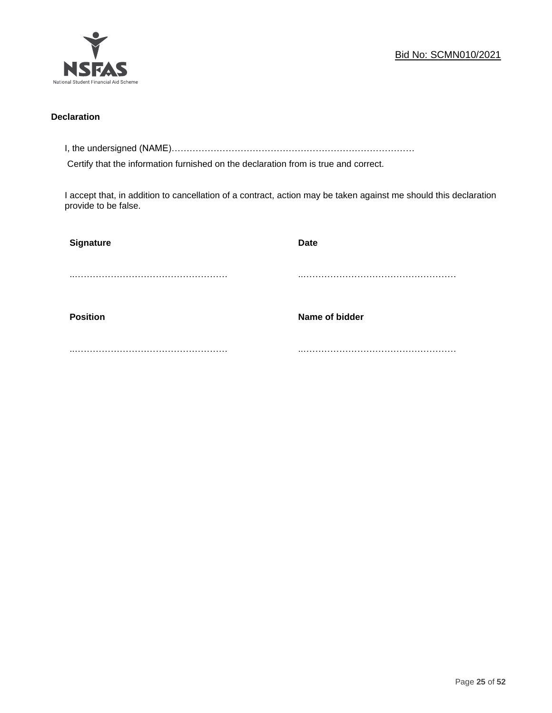

## **Declaration**

I, the undersigned (NAME)………………………………………………………………………

Certify that the information furnished on the declaration from is true and correct.

I accept that, in addition to cancellation of a contract, action may be taken against me should this declaration provide to be false.

| Signature       | <b>Date</b>    |
|-----------------|----------------|
|                 |                |
|                 |                |
| <b>Position</b> | Name of bidder |
|                 |                |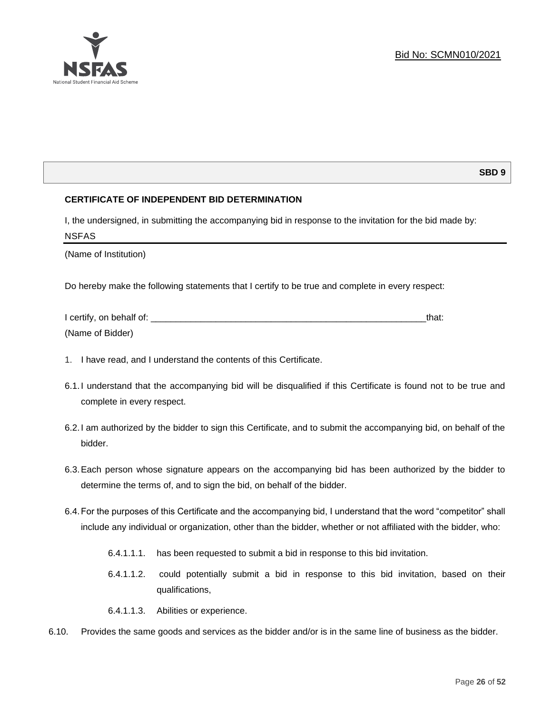

## **SBD 9**

## **CERTIFICATE OF INDEPENDENT BID DETERMINATION**

I, the undersigned, in submitting the accompanying bid in response to the invitation for the bid made by: NSFAS

(Name of Institution)

Do hereby make the following statements that I certify to be true and complete in every respect:

| I certify, on behalf of: |  |
|--------------------------|--|
| (Name of Bidder)         |  |

- 1. I have read, and I understand the contents of this Certificate.
- 6.1.I understand that the accompanying bid will be disqualified if this Certificate is found not to be true and complete in every respect.
- 6.2.I am authorized by the bidder to sign this Certificate, and to submit the accompanying bid, on behalf of the bidder.
- 6.3.Each person whose signature appears on the accompanying bid has been authorized by the bidder to determine the terms of, and to sign the bid, on behalf of the bidder.
- 6.4.For the purposes of this Certificate and the accompanying bid, I understand that the word "competitor" shall include any individual or organization, other than the bidder, whether or not affiliated with the bidder, who:
	- 6.4.1.1.1. has been requested to submit a bid in response to this bid invitation.
	- 6.4.1.1.2. could potentially submit a bid in response to this bid invitation, based on their qualifications,
	- 6.4.1.1.3. Abilities or experience.
- 6.10. Provides the same goods and services as the bidder and/or is in the same line of business as the bidder.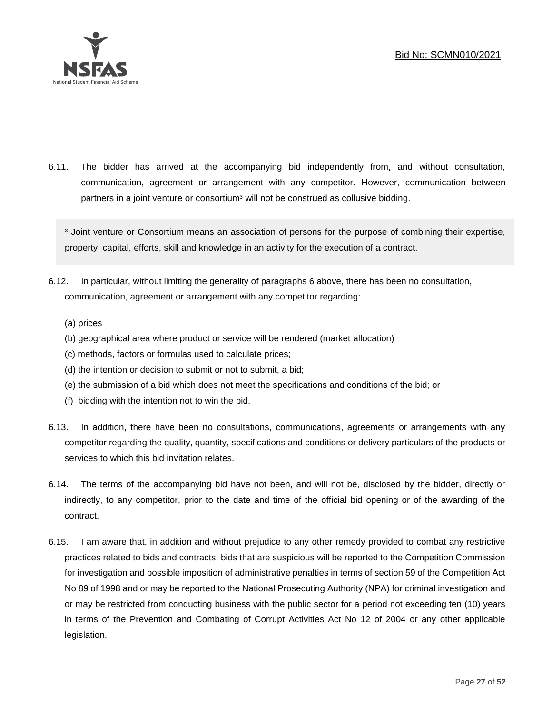

6.11. The bidder has arrived at the accompanying bid independently from, and without consultation, communication, agreement or arrangement with any competitor. However, communication between partners in a joint venture or consortium<sup>3</sup> will not be construed as collusive bidding.

<sup>3</sup> Joint venture or Consortium means an association of persons for the purpose of combining their expertise, property, capital, efforts, skill and knowledge in an activity for the execution of a contract.

- 6.12. In particular, without limiting the generality of paragraphs 6 above, there has been no consultation, communication, agreement or arrangement with any competitor regarding:
	- (a) prices
	- (b) geographical area where product or service will be rendered (market allocation)
	- (c) methods, factors or formulas used to calculate prices;
	- (d) the intention or decision to submit or not to submit, a bid;
	- (e) the submission of a bid which does not meet the specifications and conditions of the bid; or
	- (f) bidding with the intention not to win the bid.
- 6.13. In addition, there have been no consultations, communications, agreements or arrangements with any competitor regarding the quality, quantity, specifications and conditions or delivery particulars of the products or services to which this bid invitation relates.
- 6.14. The terms of the accompanying bid have not been, and will not be, disclosed by the bidder, directly or indirectly, to any competitor, prior to the date and time of the official bid opening or of the awarding of the contract.
- 6.15. I am aware that, in addition and without prejudice to any other remedy provided to combat any restrictive practices related to bids and contracts, bids that are suspicious will be reported to the Competition Commission for investigation and possible imposition of administrative penalties in terms of section 59 of the Competition Act No 89 of 1998 and or may be reported to the National Prosecuting Authority (NPA) for criminal investigation and or may be restricted from conducting business with the public sector for a period not exceeding ten (10) years in terms of the Prevention and Combating of Corrupt Activities Act No 12 of 2004 or any other applicable legislation.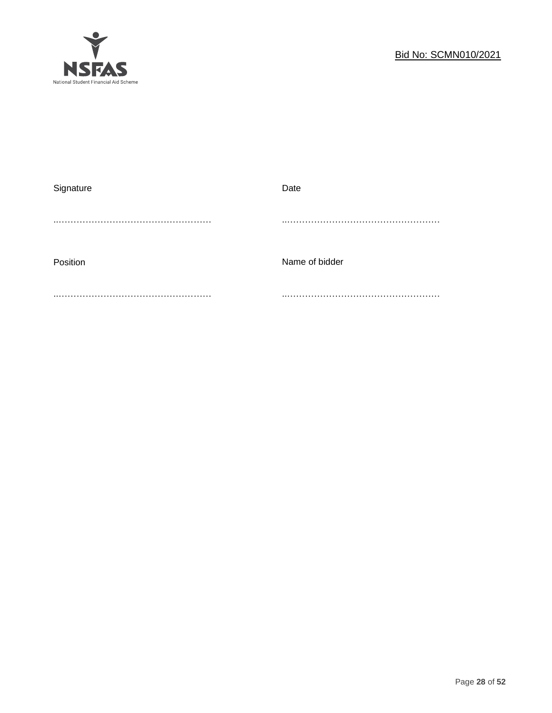

| Signature | Date           |
|-----------|----------------|
|           |                |
| Position  | Name of bidder |
|           |                |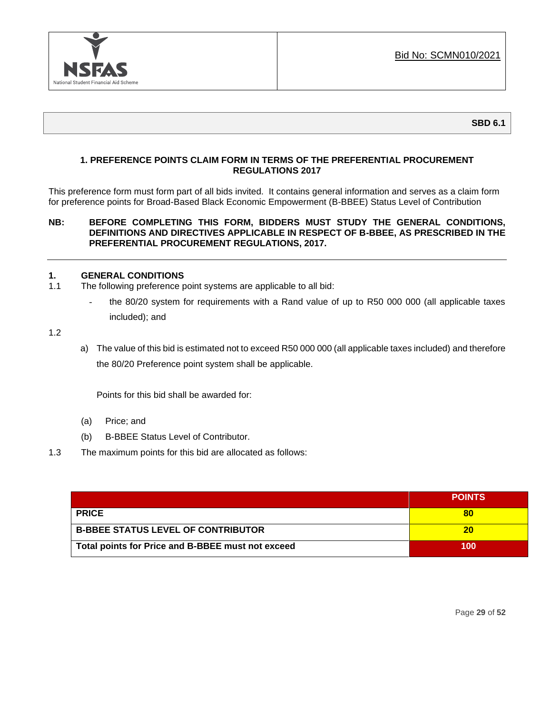

## **SBD 6.1**

## **1. PREFERENCE POINTS CLAIM FORM IN TERMS OF THE PREFERENTIAL PROCUREMENT REGULATIONS 2017**

This preference form must form part of all bids invited. It contains general information and serves as a claim form for preference points for Broad-Based Black Economic Empowerment (B-BBEE) Status Level of Contribution

## **NB: BEFORE COMPLETING THIS FORM, BIDDERS MUST STUDY THE GENERAL CONDITIONS, DEFINITIONS AND DIRECTIVES APPLICABLE IN RESPECT OF B-BBEE, AS PRESCRIBED IN THE PREFERENTIAL PROCUREMENT REGULATIONS, 2017.**

## **1. GENERAL CONDITIONS**

- 1.1 The following preference point systems are applicable to all bid:
	- the 80/20 system for requirements with a Rand value of up to R50 000 000 (all applicable taxes included); and

1.2

a) The value of this bid is estimated not to exceed R50 000 000 (all applicable taxes included) and therefore the 80/20 Preference point system shall be applicable.

Points for this bid shall be awarded for:

- (a) Price; and
- (b) B-BBEE Status Level of Contributor.
- 1.3 The maximum points for this bid are allocated as follows:

|                                                   | <b>POINTS</b> |
|---------------------------------------------------|---------------|
| <b>PRICE</b>                                      | 80            |
| <b>B-BBEE STATUS LEVEL OF CONTRIBUTOR</b>         | 20            |
| Total points for Price and B-BBEE must not exceed | 100           |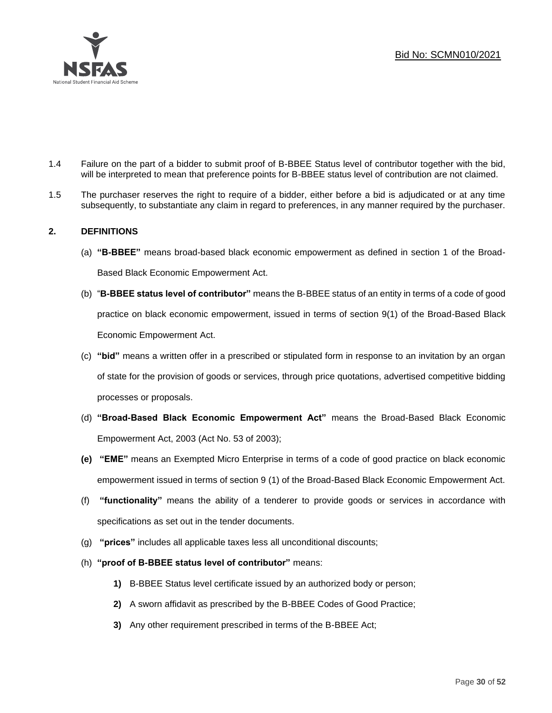

- 1.4 Failure on the part of a bidder to submit proof of B-BBEE Status level of contributor together with the bid, will be interpreted to mean that preference points for B-BBEE status level of contribution are not claimed.
- 1.5 The purchaser reserves the right to require of a bidder, either before a bid is adjudicated or at any time subsequently, to substantiate any claim in regard to preferences, in any manner required by the purchaser.

## **2. DEFINITIONS**

- (a) **"B-BBEE"** means broad-based black economic empowerment as defined in section 1 of the Broad-Based Black Economic Empowerment Act.
- (b) "**B-BBEE status level of contributor"** means the B-BBEE status of an entity in terms of a code of good practice on black economic empowerment, issued in terms of section 9(1) of the Broad-Based Black Economic Empowerment Act.
- (c) **"bid"** means a written offer in a prescribed or stipulated form in response to an invitation by an organ of state for the provision of goods or services, through price quotations, advertised competitive bidding processes or proposals.
- (d) **"Broad-Based Black Economic Empowerment Act"** means the Broad-Based Black Economic Empowerment Act, 2003 (Act No. 53 of 2003);
- **(e) "EME"** means an Exempted Micro Enterprise in terms of a code of good practice on black economic empowerment issued in terms of section 9 (1) of the Broad-Based Black Economic Empowerment Act.
- (f) **"functionality"** means the ability of a tenderer to provide goods or services in accordance with specifications as set out in the tender documents.
- (g) **"prices"** includes all applicable taxes less all unconditional discounts;
- (h) **"proof of B-BBEE status level of contributor"** means:
	- **1)** B-BBEE Status level certificate issued by an authorized body or person;
	- **2)** A sworn affidavit as prescribed by the B-BBEE Codes of Good Practice;
	- **3)** Any other requirement prescribed in terms of the B-BBEE Act;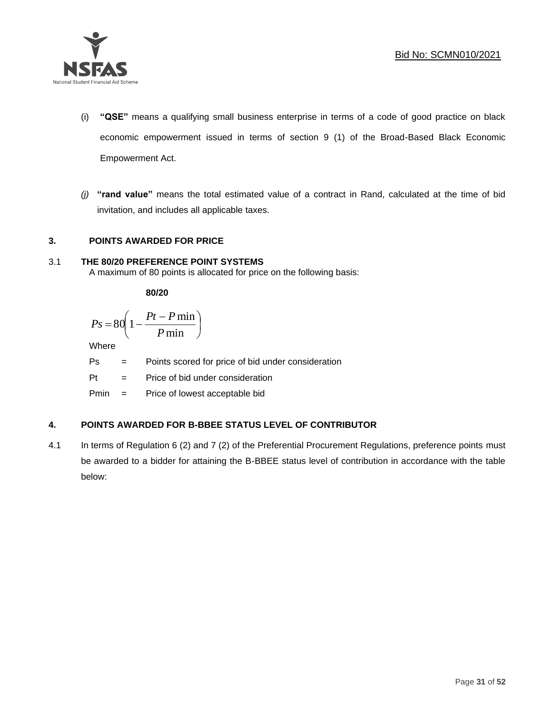

- (i) **"QSE"** means a qualifying small business enterprise in terms of a code of good practice on black economic empowerment issued in terms of section 9 (1) of the Broad-Based Black Economic Empowerment Act.
- *(j)* **"rand value"** means the total estimated value of a contract in Rand, calculated at the time of bid invitation, and includes all applicable taxes.

## **3. POINTS AWARDED FOR PRICE**

## 3.1 **THE 80/20 PREFERENCE POINT SYSTEMS**

A maximum of 80 points is allocated for price on the following basis:

**80/20**

$$
Ps = 80 \left( 1 - \frac{Pt - P \min}{P \min} \right)
$$

Where

Ps = Points scored for price of bid under consideration

l

Pt = Price of bid under consideration

Pmin = Price of lowest acceptable bid

## **4. POINTS AWARDED FOR B-BBEE STATUS LEVEL OF CONTRIBUTOR**

4.1 In terms of Regulation 6 (2) and 7 (2) of the Preferential Procurement Regulations, preference points must be awarded to a bidder for attaining the B-BBEE status level of contribution in accordance with the table below: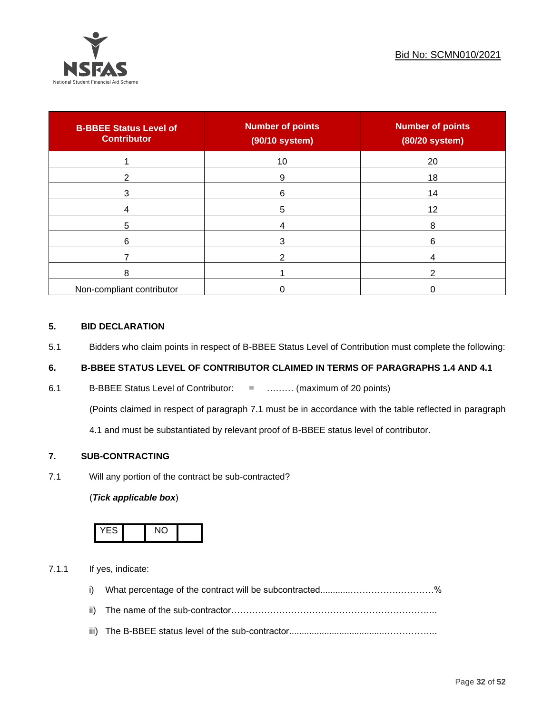

| <b>B-BBEE Status Level of</b><br><b>Contributor</b> | <b>Number of points</b><br>(90/10 system) | <b>Number of points</b><br>(80/20 system) |
|-----------------------------------------------------|-------------------------------------------|-------------------------------------------|
|                                                     | 10                                        | 20                                        |
| 2                                                   | 9                                         | 18                                        |
| 3                                                   | 6                                         | 14                                        |
|                                                     | 5                                         | 12                                        |
| 5                                                   |                                           | 8                                         |
| 6                                                   |                                           | 6                                         |
|                                                     |                                           |                                           |
| 8                                                   |                                           | ົ                                         |
| Non-compliant contributor                           |                                           |                                           |

## **5. BID DECLARATION**

5.1 Bidders who claim points in respect of B-BBEE Status Level of Contribution must complete the following:

## **6. B-BBEE STATUS LEVEL OF CONTRIBUTOR CLAIMED IN TERMS OF PARAGRAPHS 1.4 AND 4.1**

6.1 B-BBEE Status Level of Contributor: = ……… (maximum of 20 points)

(Points claimed in respect of paragraph 7.1 must be in accordance with the table reflected in paragraph

4.1 and must be substantiated by relevant proof of B-BBEE status level of contributor.

## **7. SUB-CONTRACTING**

7.1 Will any portion of the contract be sub-contracted?

## (*Tick applicable box*)



7.1.1 If yes, indicate:

- i) What percentage of the contract will be subcontracted............…………….…………%
- ii) The name of the sub-contractor…………………………………………………………...
- iii) The B-BBEE status level of the sub-contractor......................................……………...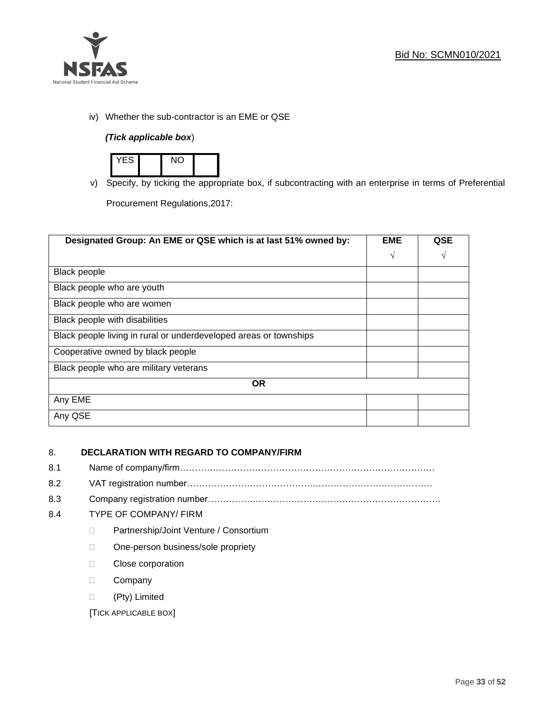

iv) Whether the sub-contractor is an EME or QSE

## *(Tick applicable box*)



v) Specify, by ticking the appropriate box, if subcontracting with an enterprise in terms of Preferential

Procurement Regulations,2017:

| Designated Group: An EME or QSE which is at last 51% owned by:    | <b>EME</b> | <b>QSE</b> |
|-------------------------------------------------------------------|------------|------------|
|                                                                   | $\sqrt{ }$ | V          |
| <b>Black people</b>                                               |            |            |
| Black people who are youth                                        |            |            |
| Black people who are women                                        |            |            |
| Black people with disabilities                                    |            |            |
| Black people living in rural or underdeveloped areas or townships |            |            |
| Cooperative owned by black people                                 |            |            |
| Black people who are military veterans                            |            |            |
| <b>OR</b>                                                         |            |            |
| Any EME                                                           |            |            |
| Any QSE                                                           |            |            |

## 8. **DECLARATION WITH REGARD TO COMPANY/FIRM**

- 8.1 Name of company/firm………………………………………………………………………….
- 8.2 VAT registration number…………………………………….…………………………………
- 8.3 Company registration number…………….……………………….…………………………….

## 8.4 TYPE OF COMPANY/ FIRM

- D Partnership/Joint Venture / Consortium
- □ One-person business/sole propriety
- D Close corporation
- D Company
- (Pty) Limited

[TICK APPLICABLE BOX]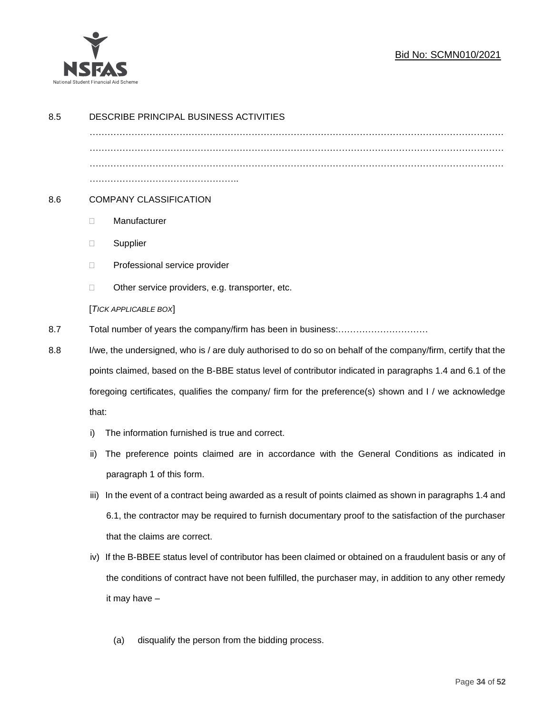

## Bid No: SCMN010/2021

| 8.5 | DESCRIBE PRINCIPAL BUSINESS ACTIVITIES                                                                 |                                                                                                              |  |  |  |  |  |
|-----|--------------------------------------------------------------------------------------------------------|--------------------------------------------------------------------------------------------------------------|--|--|--|--|--|
|     |                                                                                                        |                                                                                                              |  |  |  |  |  |
|     |                                                                                                        |                                                                                                              |  |  |  |  |  |
|     |                                                                                                        |                                                                                                              |  |  |  |  |  |
| 8.6 | <b>COMPANY CLASSIFICATION</b>                                                                          |                                                                                                              |  |  |  |  |  |
|     | $\Box$                                                                                                 | Manufacturer                                                                                                 |  |  |  |  |  |
|     | $\Box$                                                                                                 | Supplier                                                                                                     |  |  |  |  |  |
|     | $\Box$                                                                                                 | Professional service provider                                                                                |  |  |  |  |  |
|     | □                                                                                                      | Other service providers, e.g. transporter, etc.                                                              |  |  |  |  |  |
|     |                                                                                                        | [TICK APPLICABLE BOX]                                                                                        |  |  |  |  |  |
| 8.7 |                                                                                                        |                                                                                                              |  |  |  |  |  |
| 8.8 |                                                                                                        | I/we, the undersigned, who is / are duly authorised to do so on behalf of the company/firm, certify that the |  |  |  |  |  |
|     |                                                                                                        | points claimed, based on the B-BBE status level of contributor indicated in paragraphs 1.4 and 6.1 of the    |  |  |  |  |  |
|     | foregoing certificates, qualifies the company/ firm for the preference(s) shown and I / we acknowledge |                                                                                                              |  |  |  |  |  |
|     | that:                                                                                                  |                                                                                                              |  |  |  |  |  |
|     | i)                                                                                                     | The information furnished is true and correct.                                                               |  |  |  |  |  |
|     | ii)                                                                                                    | The preference points claimed are in accordance with the General Conditions as indicated in                  |  |  |  |  |  |
|     |                                                                                                        | paragraph 1 of this form.                                                                                    |  |  |  |  |  |
|     | iii)                                                                                                   | In the event of a contract being awarded as a result of points claimed as shown in paragraphs 1.4 and        |  |  |  |  |  |
|     |                                                                                                        | 6.1, the contractor may be required to furnish documentary proof to the satisfaction of the purchaser        |  |  |  |  |  |
|     |                                                                                                        | that the claims are correct.                                                                                 |  |  |  |  |  |
|     | iv)                                                                                                    | If the B-BBEE status level of contributor has been claimed or obtained on a fraudulent basis or any of       |  |  |  |  |  |
|     |                                                                                                        | the conditions of contract have not been fulfilled, the purchaser may, in addition to any other remedy       |  |  |  |  |  |
|     |                                                                                                        | it may have -                                                                                                |  |  |  |  |  |
|     |                                                                                                        |                                                                                                              |  |  |  |  |  |
|     |                                                                                                        | disqualify the person from the bidding process.<br>(a)                                                       |  |  |  |  |  |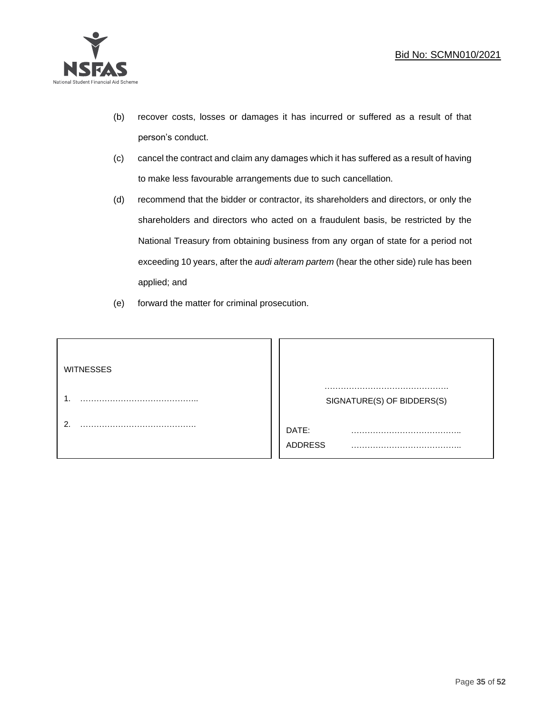

- (b) recover costs, losses or damages it has incurred or suffered as a result of that person's conduct.
- (c) cancel the contract and claim any damages which it has suffered as a result of having to make less favourable arrangements due to such cancellation.
- (d) recommend that the bidder or contractor, its shareholders and directors, or only the shareholders and directors who acted on a fraudulent basis, be restricted by the National Treasury from obtaining business from any organ of state for a period not exceeding 10 years, after the *audi alteram partem* (hear the other side) rule has been applied; and
- (e) forward the matter for criminal prosecution.

| <b>WITNESSES</b> |                              |
|------------------|------------------------------|
|                  | SIGNATURE(S) OF BIDDERS(S)   |
|                  | DATE:<br>.<br><b>ADDRESS</b> |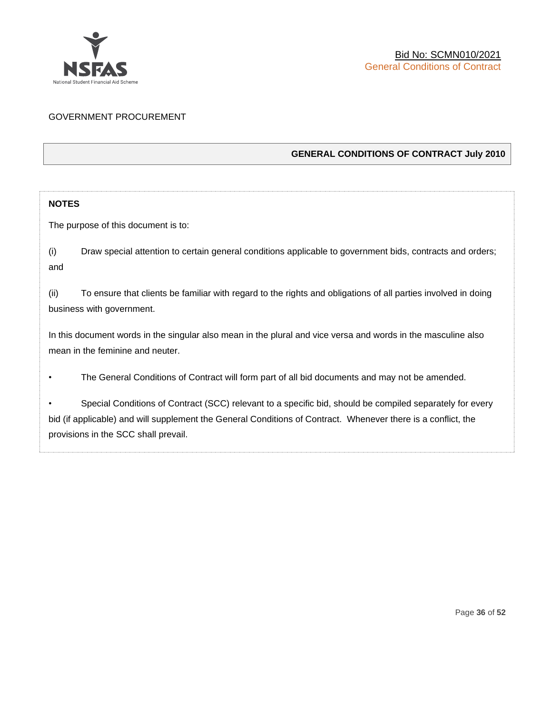

## GOVERNMENT PROCUREMENT

## **GENERAL CONDITIONS OF CONTRACT July 2010**

## **NOTES**

The purpose of this document is to:

(i) Draw special attention to certain general conditions applicable to government bids, contracts and orders; and

(ii) To ensure that clients be familiar with regard to the rights and obligations of all parties involved in doing business with government.

In this document words in the singular also mean in the plural and vice versa and words in the masculine also mean in the feminine and neuter.

• The General Conditions of Contract will form part of all bid documents and may not be amended.

Special Conditions of Contract (SCC) relevant to a specific bid, should be compiled separately for every bid (if applicable) and will supplement the General Conditions of Contract. Whenever there is a conflict, the provisions in the SCC shall prevail.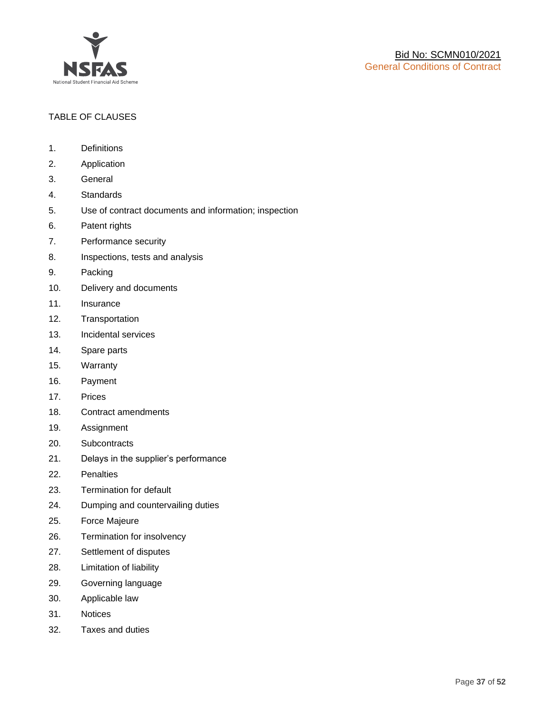

## TABLE OF CLAUSES

- 1. Definitions
- 2. Application
- 3. General
- 4. Standards
- 5. Use of contract documents and information; inspection
- 6. Patent rights
- 7. Performance security
- 8. Inspections, tests and analysis
- 9. Packing
- 10. Delivery and documents
- 11. Insurance
- 12. Transportation
- 13. Incidental services
- 14. Spare parts
- 15. Warranty
- 16. Payment
- 17. Prices
- 18. Contract amendments
- 19. Assignment
- 20. Subcontracts
- 21. Delays in the supplier's performance
- 22. Penalties
- 23. Termination for default
- 24. Dumping and countervailing duties
- 25. Force Majeure
- 26. Termination for insolvency
- 27. Settlement of disputes
- 28. Limitation of liability
- 29. Governing language
- 30. Applicable law
- 31. Notices
- 32. Taxes and duties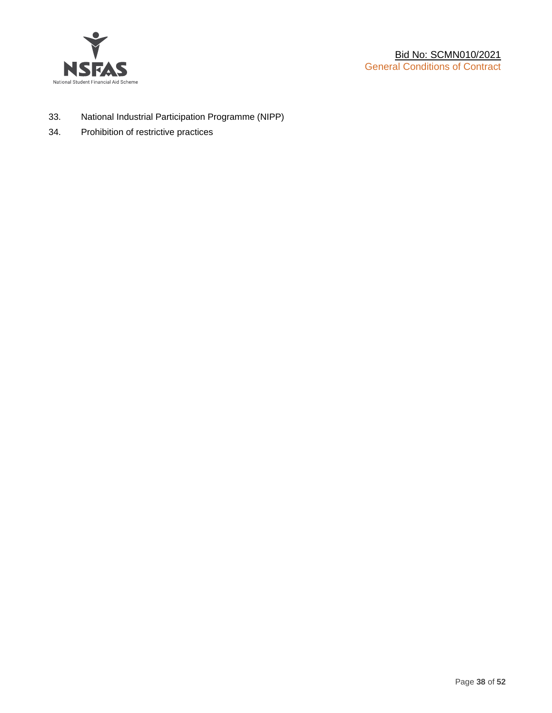

- 33. National Industrial Participation Programme (NIPP)
- 34. Prohibition of restrictive practices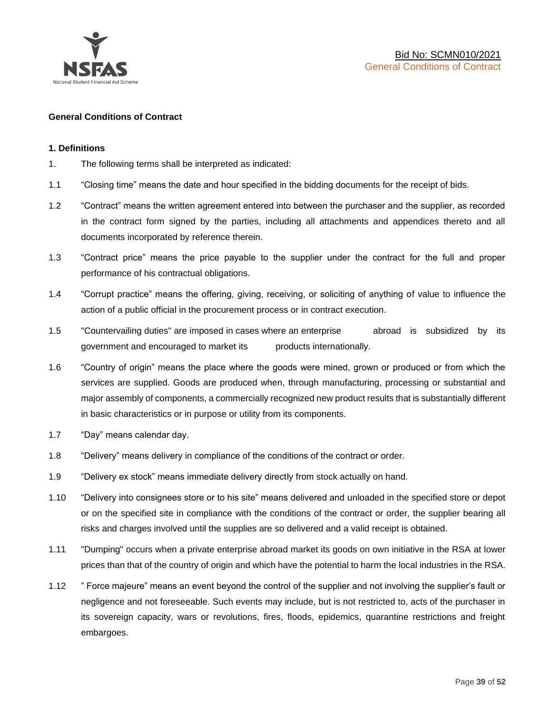

#### **General Conditions of Contract**

#### **1. Definitions**

- 1. The following terms shall be interpreted as indicated:
- 1.1 "Closing time" means the date and hour specified in the bidding documents for the receipt of bids.
- 1.2 "Contract" means the written agreement entered into between the purchaser and the supplier, as recorded in the contract form signed by the parties, including all attachments and appendices thereto and all documents incorporated by reference therein.
- 1.3 "Contract price" means the price payable to the supplier under the contract for the full and proper performance of his contractual obligations.
- 1.4 "Corrupt practice" means the offering, giving, receiving, or soliciting of anything of value to influence the action of a public official in the procurement process or in contract execution.
- 1.5 "Countervailing duties" are imposed in cases where an enterprise abroad is subsidized by its government and encouraged to market its products internationally.
- 1.6 "Country of origin" means the place where the goods were mined, grown or produced or from which the services are supplied. Goods are produced when, through manufacturing, processing or substantial and major assembly of components, a commercially recognized new product results that is substantially different in basic characteristics or in purpose or utility from its components.
- 1.7 "Day" means calendar day.
- 1.8 "Delivery" means delivery in compliance of the conditions of the contract or order.
- 1.9 "Delivery ex stock" means immediate delivery directly from stock actually on hand.
- 1.10 "Delivery into consignees store or to his site" means delivered and unloaded in the specified store or depot or on the specified site in compliance with the conditions of the contract or order, the supplier bearing all risks and charges involved until the supplies are so delivered and a valid receipt is obtained.
- 1.11 "Dumping" occurs when a private enterprise abroad market its goods on own initiative in the RSA at lower prices than that of the country of origin and which have the potential to harm the local industries in the RSA.
- 1.12 " Force majeure" means an event beyond the control of the supplier and not involving the supplier's fault or negligence and not foreseeable. Such events may include, but is not restricted to, acts of the purchaser in its sovereign capacity, wars or revolutions, fires, floods, epidemics, quarantine restrictions and freight embargoes.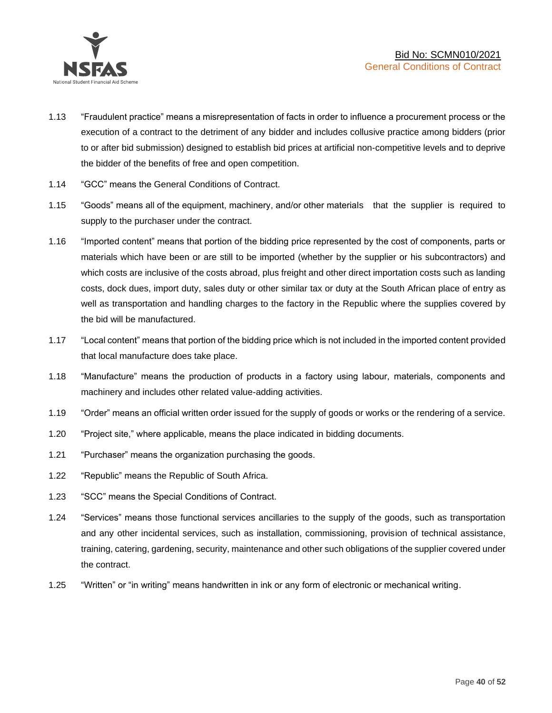

- 1.13 "Fraudulent practice" means a misrepresentation of facts in order to influence a procurement process or the execution of a contract to the detriment of any bidder and includes collusive practice among bidders (prior to or after bid submission) designed to establish bid prices at artificial non-competitive levels and to deprive the bidder of the benefits of free and open competition.
- 1.14 "GCC" means the General Conditions of Contract.
- 1.15 "Goods" means all of the equipment, machinery, and/or other materials that the supplier is required to supply to the purchaser under the contract.
- 1.16 "Imported content" means that portion of the bidding price represented by the cost of components, parts or materials which have been or are still to be imported (whether by the supplier or his subcontractors) and which costs are inclusive of the costs abroad, plus freight and other direct importation costs such as landing costs, dock dues, import duty, sales duty or other similar tax or duty at the South African place of entry as well as transportation and handling charges to the factory in the Republic where the supplies covered by the bid will be manufactured.
- 1.17 "Local content" means that portion of the bidding price which is not included in the imported content provided that local manufacture does take place.
- 1.18 "Manufacture" means the production of products in a factory using labour, materials, components and machinery and includes other related value-adding activities.
- 1.19 "Order" means an official written order issued for the supply of goods or works or the rendering of a service.
- 1.20 "Project site," where applicable, means the place indicated in bidding documents.
- 1.21 "Purchaser" means the organization purchasing the goods.
- 1.22 "Republic" means the Republic of South Africa.
- 1.23 "SCC" means the Special Conditions of Contract.
- 1.24 "Services" means those functional services ancillaries to the supply of the goods, such as transportation and any other incidental services, such as installation, commissioning, provision of technical assistance, training, catering, gardening, security, maintenance and other such obligations of the supplier covered under the contract.
- 1.25 "Written" or "in writing" means handwritten in ink or any form of electronic or mechanical writing.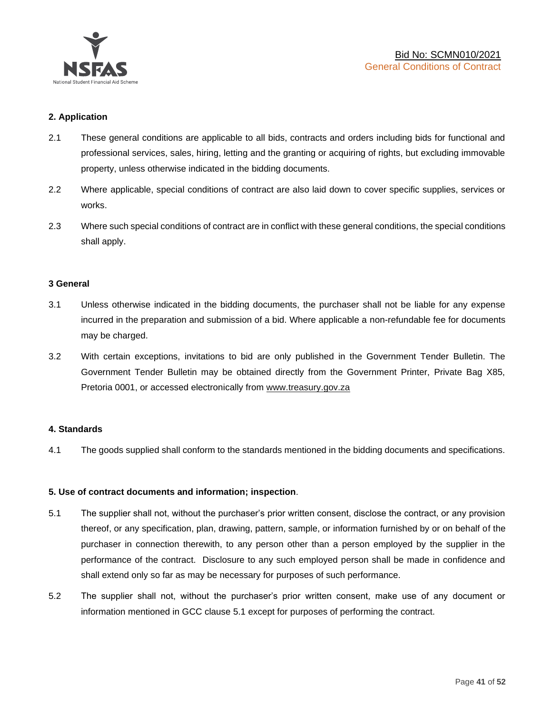

## **2. Application**

- 2.1 These general conditions are applicable to all bids, contracts and orders including bids for functional and professional services, sales, hiring, letting and the granting or acquiring of rights, but excluding immovable property, unless otherwise indicated in the bidding documents.
- 2.2 Where applicable, special conditions of contract are also laid down to cover specific supplies, services or works.
- 2.3 Where such special conditions of contract are in conflict with these general conditions, the special conditions shall apply.

#### **3 General**

- 3.1 Unless otherwise indicated in the bidding documents, the purchaser shall not be liable for any expense incurred in the preparation and submission of a bid. Where applicable a non-refundable fee for documents may be charged.
- 3.2 With certain exceptions, invitations to bid are only published in the Government Tender Bulletin. The Government Tender Bulletin may be obtained directly from the Government Printer, Private Bag X85, Pretoria 0001, or accessed electronically from [www.treasury.gov.za](http://www.treasury.gov.za/)

#### **4. Standards**

4.1 The goods supplied shall conform to the standards mentioned in the bidding documents and specifications.

#### **5. Use of contract documents and information; inspection**.

- 5.1 The supplier shall not, without the purchaser's prior written consent, disclose the contract, or any provision thereof, or any specification, plan, drawing, pattern, sample, or information furnished by or on behalf of the purchaser in connection therewith, to any person other than a person employed by the supplier in the performance of the contract. Disclosure to any such employed person shall be made in confidence and shall extend only so far as may be necessary for purposes of such performance.
- 5.2 The supplier shall not, without the purchaser's prior written consent, make use of any document or information mentioned in GCC clause 5.1 except for purposes of performing the contract.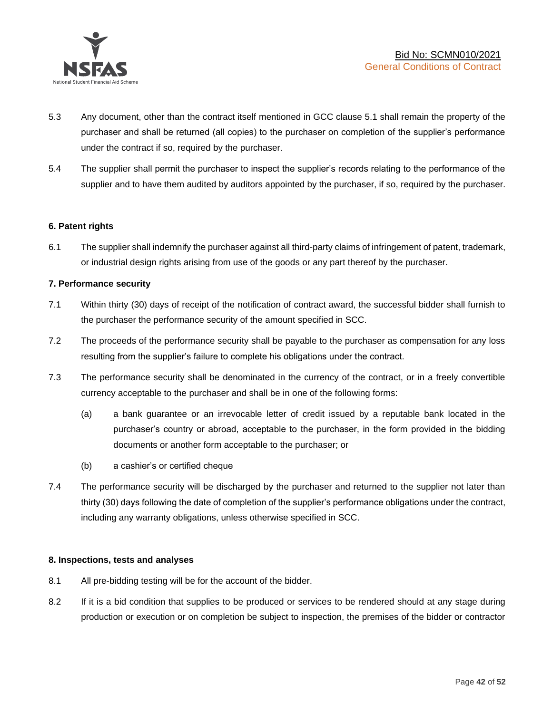

- 5.3 Any document, other than the contract itself mentioned in GCC clause 5.1 shall remain the property of the purchaser and shall be returned (all copies) to the purchaser on completion of the supplier's performance under the contract if so, required by the purchaser.
- 5.4 The supplier shall permit the purchaser to inspect the supplier's records relating to the performance of the supplier and to have them audited by auditors appointed by the purchaser, if so, required by the purchaser.

#### **6. Patent rights**

6.1 The supplier shall indemnify the purchaser against all third-party claims of infringement of patent, trademark, or industrial design rights arising from use of the goods or any part thereof by the purchaser.

## **7. Performance security**

- 7.1 Within thirty (30) days of receipt of the notification of contract award, the successful bidder shall furnish to the purchaser the performance security of the amount specified in SCC.
- 7.2 The proceeds of the performance security shall be payable to the purchaser as compensation for any loss resulting from the supplier's failure to complete his obligations under the contract.
- 7.3 The performance security shall be denominated in the currency of the contract, or in a freely convertible currency acceptable to the purchaser and shall be in one of the following forms:
	- (a) a bank guarantee or an irrevocable letter of credit issued by a reputable bank located in the purchaser's country or abroad, acceptable to the purchaser, in the form provided in the bidding documents or another form acceptable to the purchaser; or
	- (b) a cashier's or certified cheque
- 7.4 The performance security will be discharged by the purchaser and returned to the supplier not later than thirty (30) days following the date of completion of the supplier's performance obligations under the contract, including any warranty obligations, unless otherwise specified in SCC.

#### **8. Inspections, tests and analyses**

- 8.1 All pre-bidding testing will be for the account of the bidder.
- 8.2 If it is a bid condition that supplies to be produced or services to be rendered should at any stage during production or execution or on completion be subject to inspection, the premises of the bidder or contractor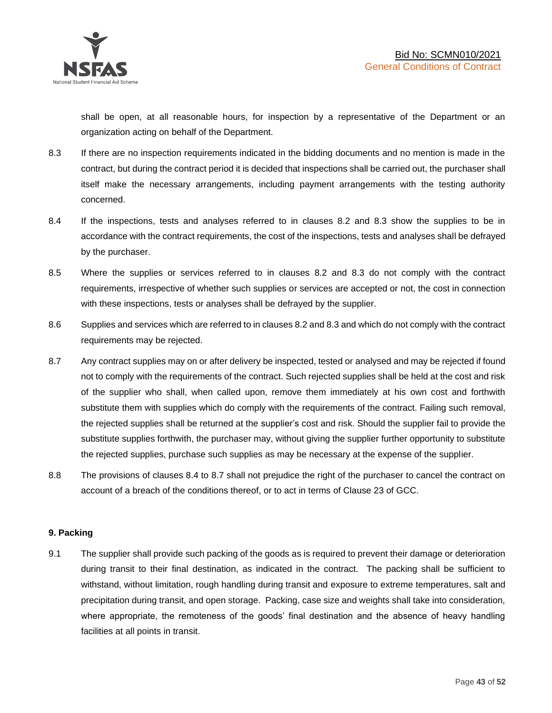shall be open, at all reasonable hours, for inspection by a representative of the Department or an organization acting on behalf of the Department.

- 8.3 If there are no inspection requirements indicated in the bidding documents and no mention is made in the contract, but during the contract period it is decided that inspections shall be carried out, the purchaser shall itself make the necessary arrangements, including payment arrangements with the testing authority concerned.
- 8.4 If the inspections, tests and analyses referred to in clauses 8.2 and 8.3 show the supplies to be in accordance with the contract requirements, the cost of the inspections, tests and analyses shall be defrayed by the purchaser.
- 8.5 Where the supplies or services referred to in clauses 8.2 and 8.3 do not comply with the contract requirements, irrespective of whether such supplies or services are accepted or not, the cost in connection with these inspections, tests or analyses shall be defrayed by the supplier.
- 8.6 Supplies and services which are referred to in clauses 8.2 and 8.3 and which do not comply with the contract requirements may be rejected.
- 8.7 Any contract supplies may on or after delivery be inspected, tested or analysed and may be rejected if found not to comply with the requirements of the contract. Such rejected supplies shall be held at the cost and risk of the supplier who shall, when called upon, remove them immediately at his own cost and forthwith substitute them with supplies which do comply with the requirements of the contract. Failing such removal, the rejected supplies shall be returned at the supplier's cost and risk. Should the supplier fail to provide the substitute supplies forthwith, the purchaser may, without giving the supplier further opportunity to substitute the rejected supplies, purchase such supplies as may be necessary at the expense of the supplier.
- 8.8 The provisions of clauses 8.4 to 8.7 shall not prejudice the right of the purchaser to cancel the contract on account of a breach of the conditions thereof, or to act in terms of Clause 23 of GCC.

## **9. Packing**

9.1 The supplier shall provide such packing of the goods as is required to prevent their damage or deterioration during transit to their final destination, as indicated in the contract. The packing shall be sufficient to withstand, without limitation, rough handling during transit and exposure to extreme temperatures, salt and precipitation during transit, and open storage. Packing, case size and weights shall take into consideration, where appropriate, the remoteness of the goods' final destination and the absence of heavy handling facilities at all points in transit.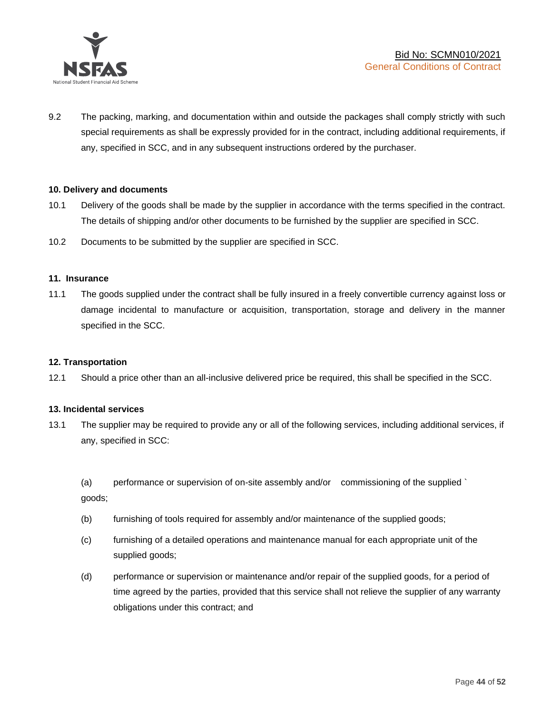

9.2 The packing, marking, and documentation within and outside the packages shall comply strictly with such special requirements as shall be expressly provided for in the contract, including additional requirements, if any, specified in SCC, and in any subsequent instructions ordered by the purchaser.

#### **10. Delivery and documents**

- 10.1 Delivery of the goods shall be made by the supplier in accordance with the terms specified in the contract. The details of shipping and/or other documents to be furnished by the supplier are specified in SCC.
- 10.2 Documents to be submitted by the supplier are specified in SCC.

#### **11. Insurance**

11.1 The goods supplied under the contract shall be fully insured in a freely convertible currency against loss or damage incidental to manufacture or acquisition, transportation, storage and delivery in the manner specified in the SCC.

#### **12. Transportation**

12.1 Should a price other than an all-inclusive delivered price be required, this shall be specified in the SCC.

#### **13. Incidental services**

13.1 The supplier may be required to provide any or all of the following services, including additional services, if any, specified in SCC:

(a) performance or supervision of on-site assembly and/or commissioning of the supplied ` goods;

- (b) furnishing of tools required for assembly and/or maintenance of the supplied goods;
- (c) furnishing of a detailed operations and maintenance manual for each appropriate unit of the supplied goods;
- (d) performance or supervision or maintenance and/or repair of the supplied goods, for a period of time agreed by the parties, provided that this service shall not relieve the supplier of any warranty obligations under this contract; and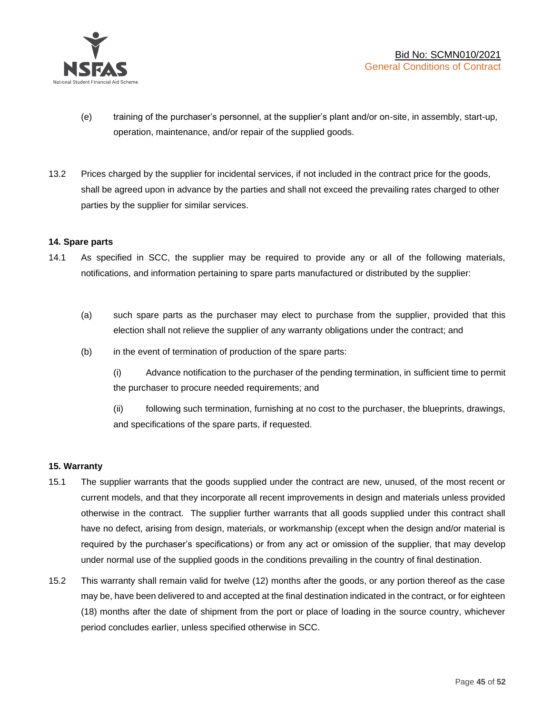

- (e) training of the purchaser's personnel, at the supplier's plant and/or on-site, in assembly, start-up, operation, maintenance, and/or repair of the supplied goods.
- 13.2 Prices charged by the supplier for incidental services, if not included in the contract price for the goods, shall be agreed upon in advance by the parties and shall not exceed the prevailing rates charged to other parties by the supplier for similar services.

## **14. Spare parts**

- 14.1 As specified in SCC, the supplier may be required to provide any or all of the following materials, notifications, and information pertaining to spare parts manufactured or distributed by the supplier:
	- (a) such spare parts as the purchaser may elect to purchase from the supplier, provided that this election shall not relieve the supplier of any warranty obligations under the contract; and
	- (b) in the event of termination of production of the spare parts:

(i) Advance notification to the purchaser of the pending termination, in sufficient time to permit the purchaser to procure needed requirements; and

(ii) following such termination, furnishing at no cost to the purchaser, the blueprints, drawings, and specifications of the spare parts, if requested.

#### **15. Warranty**

- 15.1 The supplier warrants that the goods supplied under the contract are new, unused, of the most recent or current models, and that they incorporate all recent improvements in design and materials unless provided otherwise in the contract. The supplier further warrants that all goods supplied under this contract shall have no defect, arising from design, materials, or workmanship (except when the design and/or material is required by the purchaser's specifications) or from any act or omission of the supplier, that may develop under normal use of the supplied goods in the conditions prevailing in the country of final destination.
- 15.2 This warranty shall remain valid for twelve (12) months after the goods, or any portion thereof as the case may be, have been delivered to and accepted at the final destination indicated in the contract, or for eighteen (18) months after the date of shipment from the port or place of loading in the source country, whichever period concludes earlier, unless specified otherwise in SCC.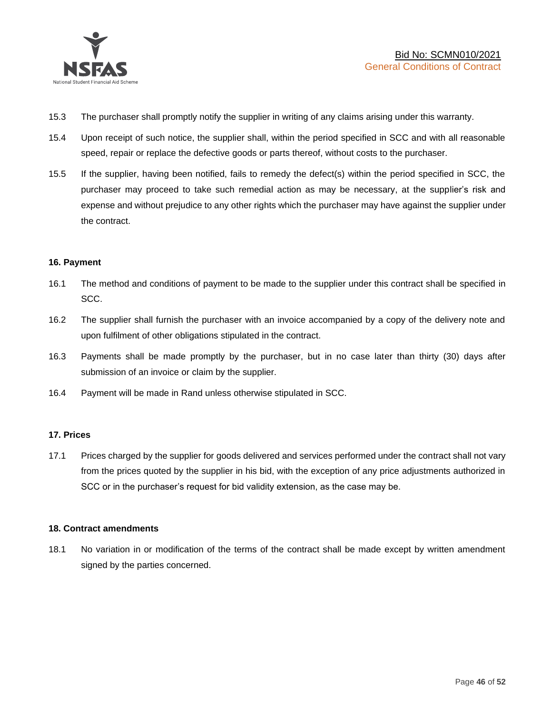

- 15.3 The purchaser shall promptly notify the supplier in writing of any claims arising under this warranty.
- 15.4 Upon receipt of such notice, the supplier shall, within the period specified in SCC and with all reasonable speed, repair or replace the defective goods or parts thereof, without costs to the purchaser.
- 15.5 If the supplier, having been notified, fails to remedy the defect(s) within the period specified in SCC, the purchaser may proceed to take such remedial action as may be necessary, at the supplier's risk and expense and without prejudice to any other rights which the purchaser may have against the supplier under the contract.

## **16. Payment**

- 16.1 The method and conditions of payment to be made to the supplier under this contract shall be specified in SCC.
- 16.2 The supplier shall furnish the purchaser with an invoice accompanied by a copy of the delivery note and upon fulfilment of other obligations stipulated in the contract.
- 16.3 Payments shall be made promptly by the purchaser, but in no case later than thirty (30) days after submission of an invoice or claim by the supplier.
- 16.4 Payment will be made in Rand unless otherwise stipulated in SCC.

#### **17. Prices**

17.1 Prices charged by the supplier for goods delivered and services performed under the contract shall not vary from the prices quoted by the supplier in his bid, with the exception of any price adjustments authorized in SCC or in the purchaser's request for bid validity extension, as the case may be.

#### **18. Contract amendments**

18.1 No variation in or modification of the terms of the contract shall be made except by written amendment signed by the parties concerned.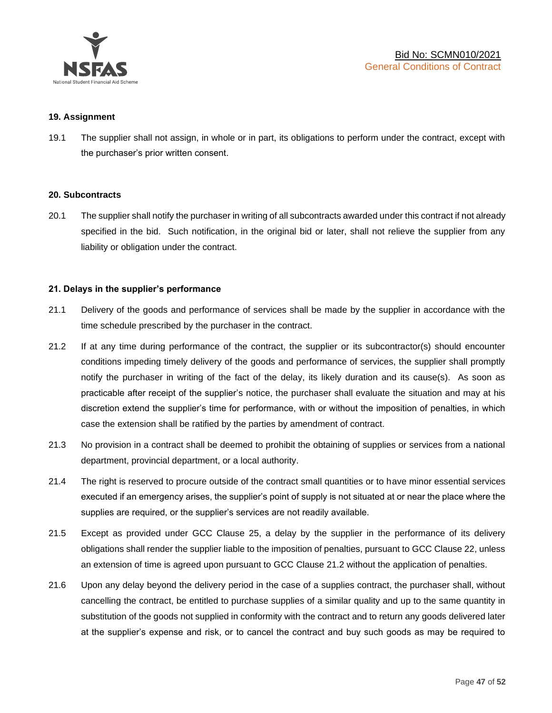

#### **19. Assignment**

19.1 The supplier shall not assign, in whole or in part, its obligations to perform under the contract, except with the purchaser's prior written consent.

#### **20. Subcontracts**

20.1 The supplier shall notify the purchaser in writing of all subcontracts awarded under this contract if not already specified in the bid. Such notification, in the original bid or later, shall not relieve the supplier from any liability or obligation under the contract.

## **21. Delays in the supplier's performance**

- 21.1 Delivery of the goods and performance of services shall be made by the supplier in accordance with the time schedule prescribed by the purchaser in the contract.
- 21.2 If at any time during performance of the contract, the supplier or its subcontractor(s) should encounter conditions impeding timely delivery of the goods and performance of services, the supplier shall promptly notify the purchaser in writing of the fact of the delay, its likely duration and its cause(s). As soon as practicable after receipt of the supplier's notice, the purchaser shall evaluate the situation and may at his discretion extend the supplier's time for performance, with or without the imposition of penalties, in which case the extension shall be ratified by the parties by amendment of contract.
- 21.3 No provision in a contract shall be deemed to prohibit the obtaining of supplies or services from a national department, provincial department, or a local authority.
- 21.4 The right is reserved to procure outside of the contract small quantities or to have minor essential services executed if an emergency arises, the supplier's point of supply is not situated at or near the place where the supplies are required, or the supplier's services are not readily available.
- 21.5 Except as provided under GCC Clause 25, a delay by the supplier in the performance of its delivery obligations shall render the supplier liable to the imposition of penalties, pursuant to GCC Clause 22, unless an extension of time is agreed upon pursuant to GCC Clause 21.2 without the application of penalties.
- 21.6 Upon any delay beyond the delivery period in the case of a supplies contract, the purchaser shall, without cancelling the contract, be entitled to purchase supplies of a similar quality and up to the same quantity in substitution of the goods not supplied in conformity with the contract and to return any goods delivered later at the supplier's expense and risk, or to cancel the contract and buy such goods as may be required to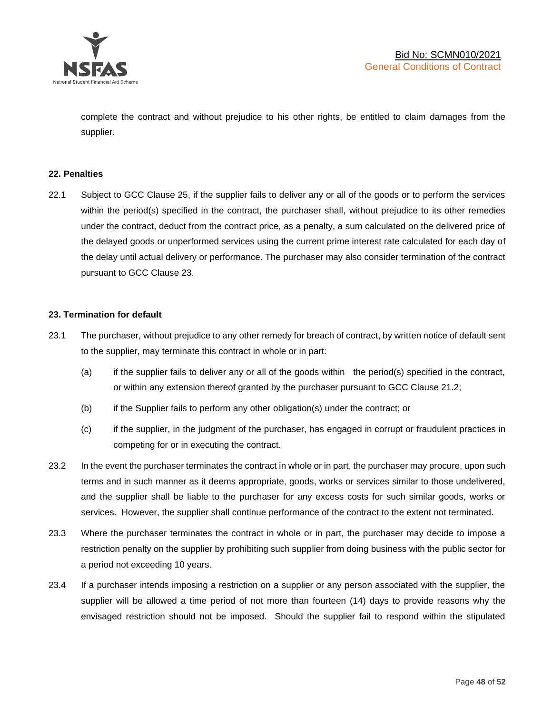

complete the contract and without prejudice to his other rights, be entitled to claim damages from the supplier.

#### **22. Penalties**

22.1 Subject to GCC Clause 25, if the supplier fails to deliver any or all of the goods or to perform the services within the period(s) specified in the contract, the purchaser shall, without prejudice to its other remedies under the contract, deduct from the contract price, as a penalty, a sum calculated on the delivered price of the delayed goods or unperformed services using the current prime interest rate calculated for each day of the delay until actual delivery or performance. The purchaser may also consider termination of the contract pursuant to GCC Clause 23.

## **23. Termination for default**

- 23.1 The purchaser, without prejudice to any other remedy for breach of contract, by written notice of default sent to the supplier, may terminate this contract in whole or in part:
	- (a) if the supplier fails to deliver any or all of the goods within the period(s) specified in the contract, or within any extension thereof granted by the purchaser pursuant to GCC Clause 21.2;
	- (b) if the Supplier fails to perform any other obligation(s) under the contract; or
	- (c) if the supplier, in the judgment of the purchaser, has engaged in corrupt or fraudulent practices in competing for or in executing the contract.
- 23.2 In the event the purchaser terminates the contract in whole or in part, the purchaser may procure, upon such terms and in such manner as it deems appropriate, goods, works or services similar to those undelivered, and the supplier shall be liable to the purchaser for any excess costs for such similar goods, works or services. However, the supplier shall continue performance of the contract to the extent not terminated.
- 23.3 Where the purchaser terminates the contract in whole or in part, the purchaser may decide to impose a restriction penalty on the supplier by prohibiting such supplier from doing business with the public sector for a period not exceeding 10 years.
- 23.4 If a purchaser intends imposing a restriction on a supplier or any person associated with the supplier, the supplier will be allowed a time period of not more than fourteen (14) days to provide reasons why the envisaged restriction should not be imposed. Should the supplier fail to respond within the stipulated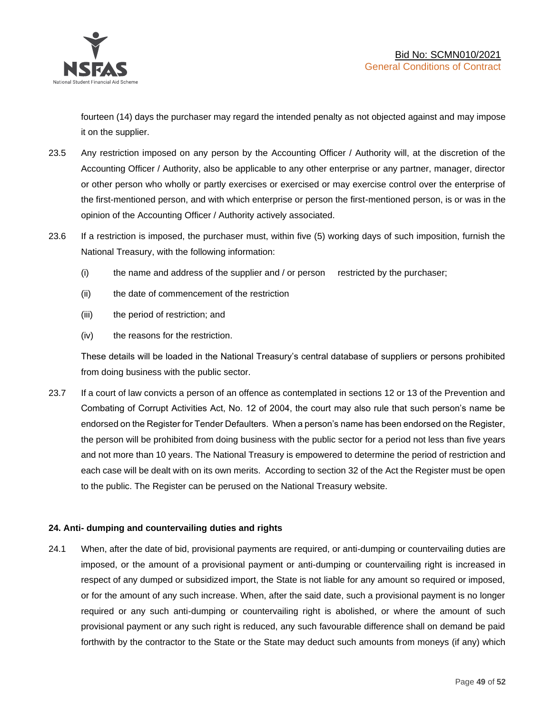

fourteen (14) days the purchaser may regard the intended penalty as not objected against and may impose it on the supplier.

- 23.5 Any restriction imposed on any person by the Accounting Officer / Authority will, at the discretion of the Accounting Officer / Authority, also be applicable to any other enterprise or any partner, manager, director or other person who wholly or partly exercises or exercised or may exercise control over the enterprise of the first-mentioned person, and with which enterprise or person the first-mentioned person, is or was in the opinion of the Accounting Officer / Authority actively associated.
- 23.6 If a restriction is imposed, the purchaser must, within five (5) working days of such imposition, furnish the National Treasury, with the following information:
	- (i) the name and address of the supplier and / or person restricted by the purchaser;
	- (ii) the date of commencement of the restriction
	- (iii) the period of restriction; and
	- (iv) the reasons for the restriction.

These details will be loaded in the National Treasury's central database of suppliers or persons prohibited from doing business with the public sector.

23.7 If a court of law convicts a person of an offence as contemplated in sections 12 or 13 of the Prevention and Combating of Corrupt Activities Act, No. 12 of 2004, the court may also rule that such person's name be endorsed on the Register for Tender Defaulters. When a person's name has been endorsed on the Register, the person will be prohibited from doing business with the public sector for a period not less than five years and not more than 10 years. The National Treasury is empowered to determine the period of restriction and each case will be dealt with on its own merits. According to section 32 of the Act the Register must be open to the public. The Register can be perused on the National Treasury website.

## **24. Anti- dumping and countervailing duties and rights**

24.1 When, after the date of bid, provisional payments are required, or anti-dumping or countervailing duties are imposed, or the amount of a provisional payment or anti-dumping or countervailing right is increased in respect of any dumped or subsidized import, the State is not liable for any amount so required or imposed, or for the amount of any such increase. When, after the said date, such a provisional payment is no longer required or any such anti-dumping or countervailing right is abolished, or where the amount of such provisional payment or any such right is reduced, any such favourable difference shall on demand be paid forthwith by the contractor to the State or the State may deduct such amounts from moneys (if any) which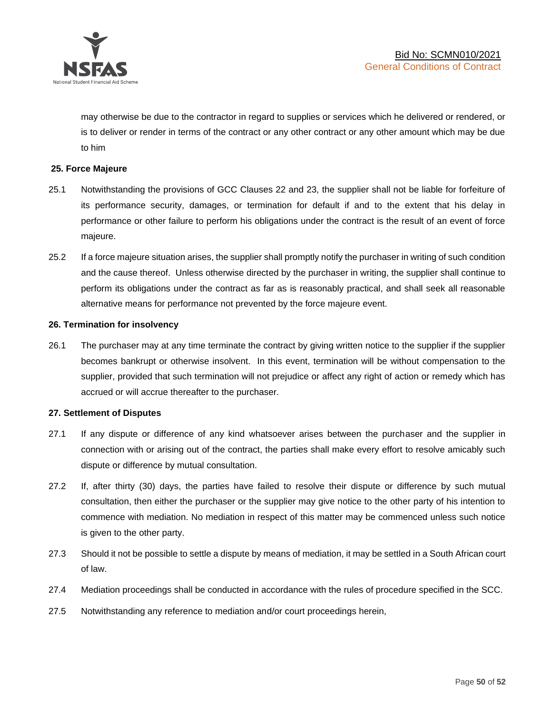

may otherwise be due to the contractor in regard to supplies or services which he delivered or rendered, or is to deliver or render in terms of the contract or any other contract or any other amount which may be due to him

## **25. Force Majeure**

- 25.1 Notwithstanding the provisions of GCC Clauses 22 and 23, the supplier shall not be liable for forfeiture of its performance security, damages, or termination for default if and to the extent that his delay in performance or other failure to perform his obligations under the contract is the result of an event of force majeure.
- 25.2 If a force majeure situation arises, the supplier shall promptly notify the purchaser in writing of such condition and the cause thereof. Unless otherwise directed by the purchaser in writing, the supplier shall continue to perform its obligations under the contract as far as is reasonably practical, and shall seek all reasonable alternative means for performance not prevented by the force majeure event.

#### **26. Termination for insolvency**

26.1 The purchaser may at any time terminate the contract by giving written notice to the supplier if the supplier becomes bankrupt or otherwise insolvent. In this event, termination will be without compensation to the supplier, provided that such termination will not prejudice or affect any right of action or remedy which has accrued or will accrue thereafter to the purchaser.

#### **27. Settlement of Disputes**

- 27.1 If any dispute or difference of any kind whatsoever arises between the purchaser and the supplier in connection with or arising out of the contract, the parties shall make every effort to resolve amicably such dispute or difference by mutual consultation.
- 27.2 If, after thirty (30) days, the parties have failed to resolve their dispute or difference by such mutual consultation, then either the purchaser or the supplier may give notice to the other party of his intention to commence with mediation. No mediation in respect of this matter may be commenced unless such notice is given to the other party.
- 27.3 Should it not be possible to settle a dispute by means of mediation, it may be settled in a South African court of law.
- 27.4 Mediation proceedings shall be conducted in accordance with the rules of procedure specified in the SCC.
- 27.5 Notwithstanding any reference to mediation and/or court proceedings herein,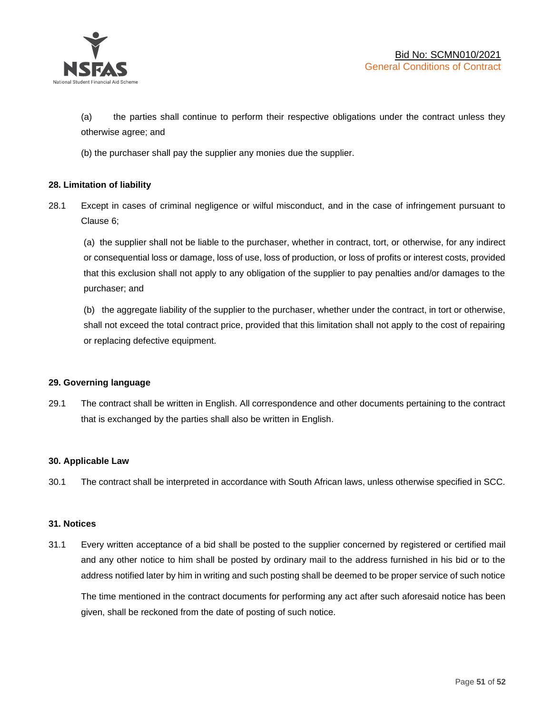

(a) the parties shall continue to perform their respective obligations under the contract unless they otherwise agree; and

(b) the purchaser shall pay the supplier any monies due the supplier.

## **28. Limitation of liability**

28.1 Except in cases of criminal negligence or wilful misconduct, and in the case of infringement pursuant to Clause 6;

(a) the supplier shall not be liable to the purchaser, whether in contract, tort, or otherwise, for any indirect or consequential loss or damage, loss of use, loss of production, or loss of profits or interest costs, provided that this exclusion shall not apply to any obligation of the supplier to pay penalties and/or damages to the purchaser; and

(b) the aggregate liability of the supplier to the purchaser, whether under the contract, in tort or otherwise, shall not exceed the total contract price, provided that this limitation shall not apply to the cost of repairing or replacing defective equipment.

#### **29. Governing language**

29.1 The contract shall be written in English. All correspondence and other documents pertaining to the contract that is exchanged by the parties shall also be written in English.

#### **30. Applicable Law**

30.1 The contract shall be interpreted in accordance with South African laws, unless otherwise specified in SCC.

#### **31. Notices**

31.1 Every written acceptance of a bid shall be posted to the supplier concerned by registered or certified mail and any other notice to him shall be posted by ordinary mail to the address furnished in his bid or to the address notified later by him in writing and such posting shall be deemed to be proper service of such notice

The time mentioned in the contract documents for performing any act after such aforesaid notice has been given, shall be reckoned from the date of posting of such notice.